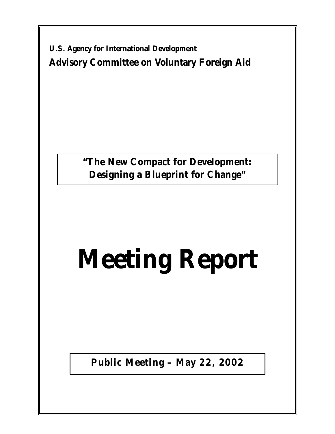**U.S. Agency for International Development Advisory Committee on Voluntary Foreign Aid**

> **"The New Compact for Development: Designing a Blueprint for Change"**

# **Meeting Report**

**Public Meeting – May 22, 2002**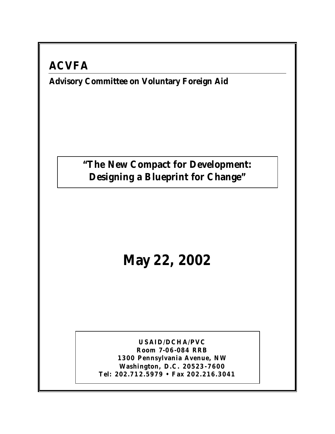### **ACVFA**

#### **Advisory Committee on Voluntary Foreign Aid**

**"The New Compact for Development: Designing a Blueprint for Change"**

## **May 22, 2002**

**USAID/DCHA/PVC Room 7-06-084 RRB 1300 Pennsylvania Avenue, NW Washington, D.C. 20523-7600 Tel: 202.712.5979 • Fax 202.216.3041**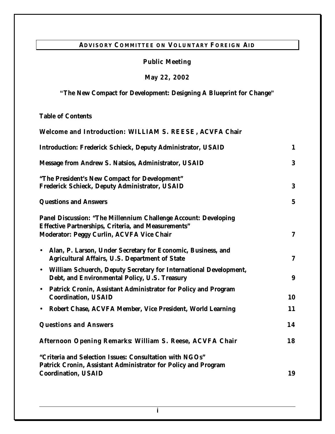#### **ADVISORY COMMITTEE ON VOLUNTARY FOREIGN AID**

#### **Public Meeting**

**May 22, 2002**

**"The New Compact for Development: Designing A Blueprint for Change"**

**Table of Contents**

| Welcome and Introduction: WILLIAM S. REESE, ACVFA Chair                                                                                                                           |                  |
|-----------------------------------------------------------------------------------------------------------------------------------------------------------------------------------|------------------|
| <b>Introduction: Frederick Schieck, Deputy Administrator, USAID</b>                                                                                                               | $\mathbf{1}$     |
| <b>Message from Andrew S. Natsios, Administrator, USAID</b>                                                                                                                       | 3                |
| "The President's New Compact for Development"<br><b>Frederick Schieck, Deputy Administrator, USAID</b>                                                                            |                  |
| <b>Questions and Answers</b>                                                                                                                                                      | $5\phantom{.0}$  |
| <b>Panel Discussion: "The Millennium Challenge Account: Developing</b><br><b>Effective Partnerships, Criteria, and Measurements"</b><br>Moderator: Peggy Curlin, ACVFA Vice Chair | $\mathbf 7$      |
| • Alan, P. Larson, Under Secretary for Economic, Business, and<br><b>Agricultural Affairs, U.S. Department of State</b>                                                           | $\boldsymbol{7}$ |
| • William Schuerch, Deputy Secretary for International Development,<br>Debt, and Environmental Policy, U.S. Treasury                                                              | 9                |
| • Patrick Cronin, Assistant Administrator for Policy and Program<br><b>Coordination, USAID</b>                                                                                    | 10               |
| Robert Chase, ACVFA Member, Vice President, World Learning<br>$\bullet$                                                                                                           | 11               |
| <b>Questions and Answers</b>                                                                                                                                                      |                  |
| Afternoon Opening Remarks: William S. Reese, ACVFA Chair                                                                                                                          | 18               |
| "Criteria and Selection Issues: Consultation with NGOs"<br>Patrick Cronin, Assistant Administrator for Policy and Program                                                         |                  |
| <b>Coordination, USAID</b><br>19                                                                                                                                                  |                  |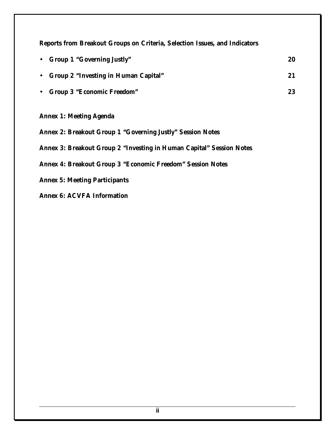**Reports from Breakout Groups on Criteria, Selection Issues, and Indicators**

|           | • Group 1 "Governing Justly"           | 20 |  |
|-----------|----------------------------------------|----|--|
|           | • Group 2 "Investing in Human Capital" | 21 |  |
| $\bullet$ | <b>Group 3 "Economic Freedom"</b>      | 23 |  |
|           | <b>Annex 1: Meeting Agenda</b>         |    |  |

**Annex 2: Breakout Group 1 "Governing Justly" Session Notes**

**Annex 3: Breakout Group 2 "Investing in Human Capital" Session Notes**

**Annex 4: Breakout Group 3 "Economic Freedom" Session Notes**

**Annex 5: Meeting Participants**

**Annex 6: ACVFA Information**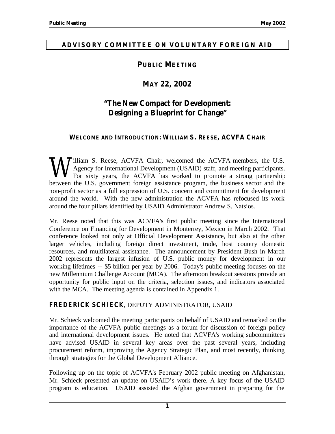#### **ADVISORY COMMITTEE ON VOLUNTARY FOREIGN AID**

#### **PUBLIC MEETING**

#### **MAY 22, 2002**

#### **"The New Compact for Development: Designing a Blueprint for Change"**

#### **WELCOME AND INTRODUCTION: WILLIAM S. REESE, ACVFA CHAIR**

**J**illiam S. Reese, ACVFA Chair, welcomed the ACVFA members, the U.S. Agency for International Development (USAID) staff, and meeting participants. For sixty years, the ACVFA has worked to promote a strong partnership **W** Hency for International Development (USAID) staff, and meeting participants.<br>
For sixty years, the ACVFA has worked to promote a strong partnership<br>
between the U.S. government foreign assistance program, the business non-profit sector as a full expression of U.S. concern and commitment for development around the world. With the new administration the ACVFA has refocused its work around the four pillars identified by USAID Administrator Andrew S. Natsios.

Mr. Reese noted that this was ACVFA's first public meeting since the International Conference on Financing for Development in Monterrey, Mexico in March 2002. That conference looked not only at Official Development Assistance, but also at the other larger vehicles, including foreign direct investment, trade, host country domestic resources, and multilateral assistance. The announcement by President Bush in March 2002 represents the largest infusion of U.S. public money for development in our working lifetimes -- \$5 billion per year by 2006. Today's public meeting focuses on the new Millennium Challenge Account (MCA). The afternoon breakout sessions provide an opportunity for public input on the criteria, selection issues, and indicators associated with the MCA. The meeting agenda is contained in Appendix 1.

#### **FREDERICK SCHIECK**, DEPUTY ADMINISTRATOR, USAID

Mr. Schieck welcomed the meeting participants on behalf of USAID and remarked on the importance of the ACVFA public meetings as a forum for discussion of foreign policy and international development issues. He noted that ACVFA's working subcommittees have advised USAID in several key areas over the past several years, including procurement reform, improving the Agency Strategic Plan, and most recently, thinking through strategies for the Global Development Alliance.

Following up on the topic of ACVFA's February 2002 public meeting on Afghanistan, Mr. Schieck presented an update on USAID's work there. A key focus of the USAID program is education. USAID assisted the Afghan government in preparing for the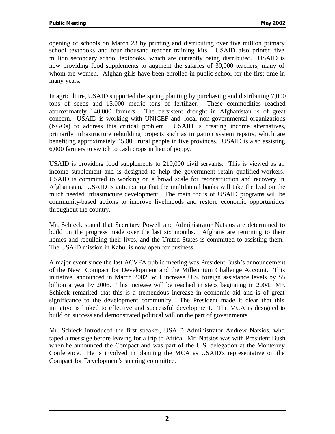opening of schools on March 23 by printing and distributing over five million primary school textbooks and four thousand teacher training kits. USAID also printed five million secondary school textbooks, which are currently being distributed. USAID is now providing food supplements to augment the salaries of 30,000 teachers, many of whom are women. Afghan girls have been enrolled in public school for the first time in many years.

In agriculture, USAID supported the spring planting by purchasing and distributing 7,000 tons of seeds and 15,000 metric tons of fertilizer. These commodities reached approximately 140,000 farmers. The persistent drought in Afghanistan is of great concern. USAID is working with UNICEF and local non-governmental organizations (NGOs) to address this critical problem. USAID is creating income alternatives, primarily infrastructure rebuilding projects such as irrigation system repairs, which are benefiting approximately 45,000 rural people in five provinces. USAID is also assisting 6,000 farmers to switch to cash crops in lieu of poppy.

USAID is providing food supplements to 210,000 civil servants. This is viewed as an income supplement and is designed to help the government retain qualified workers. USAID is committed to working on a broad scale for reconstruction and recovery in Afghanistan. USAID is anticipating that the multilateral banks will take the lead on the much needed infrastructure development. The main focus of USAID programs will be community-based actions to improve livelihoods and restore economic opportunities throughout the country.

Mr. Schieck stated that Secretary Powell and Administrator Natsios are determined to build on the progress made over the last six months. Afghans are returning to their homes and rebuilding their lives, and the United States is committed to assisting them. The USAID mission in Kabul is now open for business.

A major event since the last ACVFA public meeting was President Bush's announcement of the New Compact for Development and the Millennium Challenge Account. This initiative, announced in March 2002, will increase U.S. foreign assistance levels by \$5 billion a year by 2006. This increase will be reached in steps beginning in 2004. Mr. Schieck remarked that this is a tremendous increase in economic aid and is of great significance to the development community. The President made it clear that this initiative is linked to effective and successful development. The MCA is designed to build on success and demonstrated political will on the part of governments.

Mr. Schieck introduced the first speaker, USAID Administrator Andrew Natsios, who taped a message before leaving for a trip to Africa. Mr. Natsios was with President Bush when he announced the Compact and was part of the U.S. delegation at the Monterrey Conference. He is involved in planning the MCA as USAID's representative on the Compact for Development's steering committee.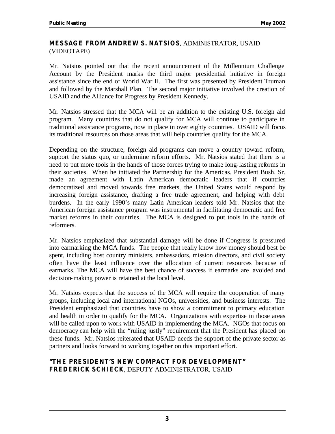#### **MESSAGE FROM ANDREW S. NATSIOS**, ADMINISTRATOR, USAID (VIDEOTAPE)

Mr. Natsios pointed out that the recent announcement of the Millennium Challenge Account by the President marks the third major presidential initiative in foreign assistance since the end of World War II. The first was presented by President Truman and followed by the Marshall Plan. The second major initiative involved the creation of USAID and the Alliance for Progress by President Kennedy.

Mr. Natsios stressed that the MCA will be an addition to the existing U.S. foreign aid program. Many countries that do not qualify for MCA will continue to participate in traditional assistance programs, now in place in over eighty countries. USAID will focus its traditional resources on those areas that will help countries qualify for the MCA.

Depending on the structure, foreign aid programs can move a country toward reform, support the status quo, or undermine reform efforts. Mr. Natsios stated that there is a need to put more tools in the hands of those forces trying to make long-lasting reforms in their societies. When he initiated the Partnership for the Americas, President Bush, Sr. made an agreement with Latin American democratic leaders that if countries democratized and moved towards free markets, the United States would respond by increasing foreign assistance, drafting a free trade agreement, and helping with debt burdens. In the early 1990's many Latin American leaders told Mr. Natsios that the American foreign assistance program was instrumental in facilitating democratic and free market reforms in their countries. The MCA is designed to put tools in the hands of reformers.

Mr. Natsios emphasized that substantial damage will be done if Congress is pressured into earmarking the MCA funds. The people that really know how money should best be spent, including host country ministers, ambassadors, mission directors, and civil society often have the least influence over the allocation of current resources because of earmarks. The MCA will have the best chance of success if earmarks are avoided and decision-making power is retained at the local level.

Mr. Natsios expects that the success of the MCA will require the cooperation of many groups, including local and international NGOs, universities, and business interests. The President emphasized that countries have to show a commitment to primary education and health in order to qualify for the MCA. Organizations with expertise in those areas will be called upon to work with USAID in implementing the MCA. NGOs that focus on democracy can help with the "ruling justly" requirement that the President has placed on these funds. Mr. Natsios reiterated that USAID needs the support of the private sector as partners and looks forward to working together on this important effort.

#### **"THE PRESIDENT'S NEW COMPACT FOR DEVELOPMENT" FREDERICK SCHIECK**, DEPUTY ADMINISTRATOR, USAID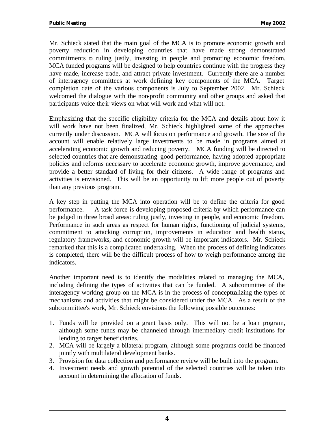Mr. Schieck stated that the main goal of the MCA is to promote economic growth and poverty reduction in developing countries that have made strong demonstrated commitments to ruling justly, investing in people and promoting economic freedom. MCA funded programs will be designed to help countries continue with the progress they have made, increase trade, and attract private investment. Currently there are a number of interagency committees at work defining key components of the MCA. Target completion date of the various components is July to September 2002. Mr. Schieck welcomed the dialogue with the non-profit community and other groups and asked that participants voice the ir views on what will work and what will not.

Emphasizing that the specific eligibility criteria for the MCA and details about how it will work have not been finalized, Mr. Schieck highlighted some of the approaches currently under discussion. MCA will focus on performance and growth. The size of the account will enable relatively large investments to be made in programs aimed at accelerating economic growth and reducing poverty. MCA funding will be directed to selected countries that are demonstrating good performance, having adopted appropriate policies and reforms necessary to accelerate economic growth, improve governance, and provide a better standard of living for their citizens. A wide range of programs and activities is envisioned. This will be an opportunity to lift more people out of poverty than any previous program.

A key step in putting the MCA into operation will be to define the criteria for good performance. A task force is developing proposed criteria by which performance can be judged in three broad areas: ruling justly, investing in people, and economic freedom. Performance in such areas as respect for human rights, functioning of judicial systems, commitment to attacking corruption, improvements in education and health status, regulatory frameworks, and economic growth will be important indicators. Mr. Schieck remarked that this is a complicated undertaking. When the process of defining indicators is completed, there will be the difficult process of how to weigh performance among the indicators.

Another important need is to identify the modalities related to managing the MCA, including defining the types of activities that can be funded. A subcommittee of the interagency working group on the MCA is in the process of conceptualizing the types of mechanisms and activities that might be considered under the MCA. As a result of the subcommittee's work, Mr. Schieck envisions the following possible outcomes:

- 1. Funds will be provided on a grant basis only. This will not be a loan program, although some funds may be channeled through intermediary credit institutions for lending to target beneficiaries.
- 2. MCA will be largely a bilateral program, although some programs could be financed jointly with multilateral development banks.
- 3. Provision for data collection and performance review will be built into the program.
- 4. Investment needs and growth potential of the selected countries will be taken into account in determining the allocation of funds.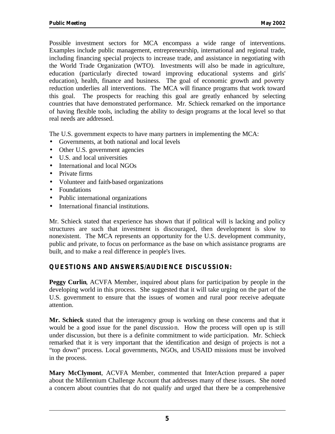Possible investment sectors for MCA encompass a wide range of interventions. Examples include public management, entrepreneurship, international and regional trade, including financing special projects to increase trade, and assistance in negotiating with the World Trade Organization (WTO). Investments will also be made in agriculture, education (particularly directed toward improving educational systems and girls' education), health, finance and business. The goal of economic growth and poverty reduction underlies all interventions. The MCA will finance programs that work toward this goal. The prospects for reaching this goal are greatly enhanced by selecting countries that have demonstrated performance. Mr. Schieck remarked on the importance of having flexible tools, including the ability to design programs at the local level so that real needs are addressed.

The U.S. government expects to have many partners in implementing the MCA:

- Governments, at both national and local levels
- Other U.S. government agencies
- U.S. and local universities
- International and local NGOs
- Private firms
- Volunteer and faith-based organizations
- Foundations
- Public international organizations
- International financial institutions.

Mr. Schieck stated that experience has shown that if political will is lacking and policy structures are such that investment is discouraged, then development is slow to nonexistent. The MCA represents an opportunity for the U.S. development community, public and private, to focus on performance as the base on which assistance programs are built, and to make a real difference in people's lives.

#### **QUESTIONS AND ANSWERS/AUDIENCE DISCUSSION:**

**Peggy Curlin**, ACVFA Member, inquired about plans for participation by people in the developing world in this process. She suggested that it will take urging on the part of the U.S. government to ensure that the issues of women and rural poor receive adequate attention.

**Mr. Schieck** stated that the interagency group is working on these concerns and that it would be a good issue for the panel discussion. How the process will open up is still under discussion, but there is a definite commitment to wide participation. Mr. Schieck remarked that it is very important that the identification and design of projects is not a "top down" process. Local governments, NGOs, and USAID missions must be involved in the process.

**Mary McClymont**, ACVFA Member, commented that InterAction prepared a paper about the Millennium Challenge Account that addresses many of these issues. She noted a concern about countries that do not qualify and urged that there be a comprehensive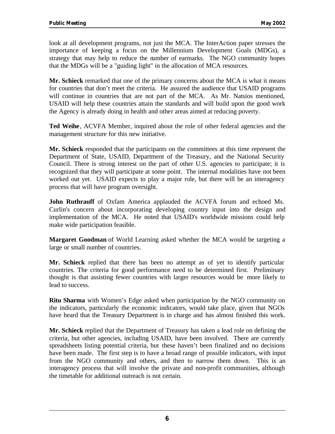look at all development programs, not just the MCA. The InterAction paper stresses the importance of keeping a focus on the Millennium Development Goals (MDGs), a strategy that may help to reduce the number of earmarks. The NGO community hopes that the MDGs will be a "guiding light" in the allocation of MCA resources.

**Mr. Schieck** remarked that one of the primary concerns about the MCA is what it means for countries that don't meet the criteria. He assured the audience that USAID programs will continue in countries that are not part of the MCA. As Mr. Natsios mentioned, USAID will help these countries attain the standards and will build upon the good work the Agency is already doing in health and other areas aimed at reducing poverty.

**Ted Weihe**, ACVFA Member, inquired about the role of other federal agencies and the management structure for this new initiative.

**Mr. Schieck** responded that the participants on the committees at this time represent the Department of State, USAID, Department of the Treasury, and the National Security Council. There is strong interest on the part of other U.S. agencies to participate; it is recognized that they will participate at some point. The internal modalities have not been worked out yet. USAID expects to play a major role, but there will be an interagency process that will have program oversight.

**John Ruthrauff** of Oxfam America applauded the ACVFA forum and echoed Ms. Curlin's concern about incorporating developing country input into the design and implementation of the MCA. He noted that USAID's worldwide missions could help make wide participation feasible.

**Margaret Goodman** of World Learning asked whether the MCA would be targeting a large or small number of countries.

**Mr. Schieck** replied that there has been no attempt as of yet to identify particular countries. The criteria for good performance need to be determined first. Preliminary thought is that assisting fewer countries with larger resources would be more likely to lead to success.

**Ritu Sharma** with Women's Edge asked when participation by the NGO community on the indicators, particularly the economic indicators, would take place, given that NGOs have heard that the Treasury Department is in charge and has almost finished this work.

**Mr. Schieck** replied that the Department of Treasury has taken a lead role on defining the criteria, but other agencies, including USAID, have been involved. There are currently spreadsheets listing potential criteria, but these haven't been finalized and no decisions have been made. The first step is to have a broad range of possible indicators, with input from the NGO community and others, and then to narrow them down. This is an interagency process that will involve the private and non-profit communities, although the timetable for additional outreach is not certain.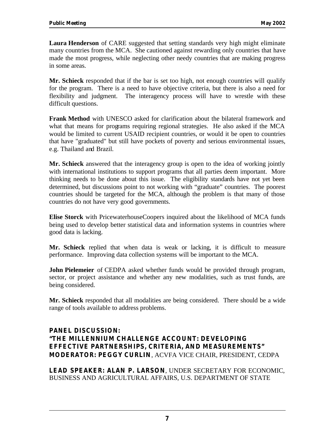**Laura Henderson** of CARE suggested that setting standards very high might eliminate many countries from the MCA. She cautioned against rewarding only countries that have made the most progress, while neglecting other needy countries that are making progress in some areas.

**Mr. Schieck** responded that if the bar is set too high, not enough countries will qualify for the program. There is a need to have objective criteria, but there is also a need for flexibility and judgment. The interagency process will have to wrestle with these difficult questions.

**Frank Method** with UNESCO asked for clarification about the bilateral framework and what that means for programs requiring regional strategies. He also asked if the MCA would be limited to current USAID recipient countries, or would it be open to countries that have "graduated" but still have pockets of poverty and serious environmental issues, e.g. Thailand and Brazil.

**Mr. Schieck** answered that the interagency group is open to the idea of working jointly with international institutions to support programs that all parties deem important. More thinking needs to be done about this issue. The eligibility standards have not yet been determined, but discussions point to not working with "graduate" countries. The poorest countries should be targeted for the MCA, although the problem is that many of those countries do not have very good governments.

**Elise Storck** with PricewaterhouseCoopers inquired about the likelihood of MCA funds being used to develop better statistical data and information systems in countries where good data is lacking.

**Mr. Schieck** replied that when data is weak or lacking, it is difficult to measure performance. Improving data collection systems will be important to the MCA.

**John Pielemeier** of CEDPA asked whether funds would be provided through program, sector, or project assistance and whether any new modalities, such as trust funds, are being considered.

**Mr. Schieck** responded that all modalities are being considered. There should be a wide range of tools available to address problems.

#### **PANEL DISCUSSION: "THE MILLENNIUM CHALLENGE ACCOUNT: DEVELOPING EFFECTIVE PARTNERSHIPS, CRITERIA, AND MEASUREMENTS" MODERATOR: PEGGY CURLIN**, ACVFA VICE CHAIR, PRESIDENT, CEDPA

**LEAD SPEAKER: ALAN P. LARSON**, UNDER SECRETARY FOR ECONOMIC, BUSINESS AND AGRICULTURAL AFFAIRS, U.S. DEPARTMENT OF STATE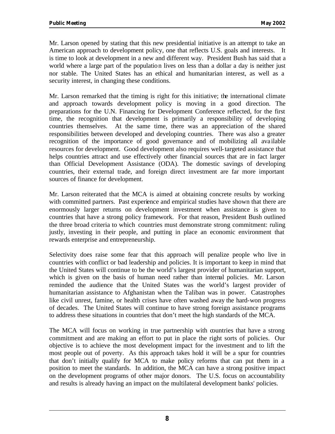Mr. Larson opened by stating that this new presidential initiative is an attempt to take an American approach to development policy, one that reflects U.S. goals and interests. It is time to look at development in a new and different way. President Bush has said that a world where a large part of the population lives on less than a dollar a day is neither just nor stable. The United States has an ethical and humanitarian interest, as well as a security interest, in changing these conditions.

Mr. Larson remarked that the timing is right for this initiative; the international climate and approach towards development policy is moving in a good direction. The preparations for the U.N. Financing for Development Conference reflected, for the first time, the recognition that development is primarily a responsibility of developing countries themselves. At the same time, there was an appreciation of the shared responsibilities between developed and developing countries. There was also a greater recognition of the importance of good governance and of mobilizing all ava ilable resources for development. Good development also requires well-targeted assistance that helps countries attract and use effectively other financial sources that are in fact larger than Official Development Assistance (ODA). The domestic savings of developing countries, their external trade, and foreign direct investment are far more important sources of finance for development.

Mr. Larson reiterated that the MCA is aimed at obtaining concrete results by working with committed partners. Past experience and empirical studies have shown that there are enormously larger returns on development investment when assistance is given to countries that have a strong policy framework. For that reason, President Bush outlined the three broad criteria to which countries must demonstrate strong commitment: ruling justly, investing in their people, and putting in place an economic environment that rewards enterprise and entrepreneurship.

Selectivity does raise some fear that this approach will penalize people who live in countries with conflict or bad leadership and policies. It is important to keep in mind that the United States will continue to be the world's largest provider of humanitarian support, which is given on the basis of human need rather than internal policies. Mr. Larson reminded the audience that the United States was the world's largest provider of humanitarian assistance to Afghanistan when the Taliban was in power. Catastrophes like civil unrest, famine, or health crises have often washed away the hard-won progress of decades. The United States will continue to have strong foreign assistance programs to address these situations in countries that don't meet the high standards of the MCA.

The MCA will focus on working in true partnership with countries that have a strong commitment and are making an effort to put in place the right sorts of policies. Our objective is to achieve the most development impact for the investment and to lift the most people out of poverty. As this approach takes hold it will be a spur for countries that don't initially qualify for MCA to make policy reforms that can put them in a position to meet the standards. In addition, the MCA can have a strong positive impact on the development programs of other major donors. The U.S. focus on accountability and results is already having an impact on the multilateral development banks' policies.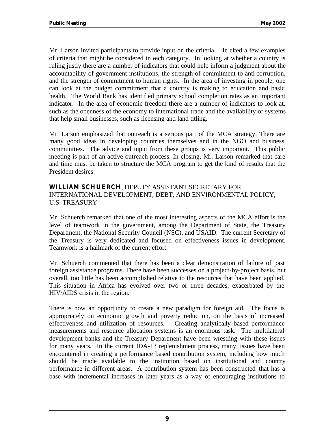Mr. Larson invited participants to provide input on the criteria. He cited a few examples of criteria that might be considered in each category. In looking at whether a country is ruling justly there are a number of indicators that could help inform a judgment about the accountability of government institutions, the strength of commitment to anti-corruption, and the strength of commitment to human rights. In the area of investing in people, one can look at the budget commitment that a country is making to education and basic health. The World Bank has identified primary school completion rates as an important indicator. In the area of economic freedom there are a number of indicators to look at, such as the openness of the economy to international trade and the availability of systems that help small businesses, such as licensing and land titling.

Mr. Larson emphasized that outreach is a serious part of the MCA strategy. There are many good ideas in developing countries themselves and in the NGO and business communities. The advice and input from these groups is very important. This public meeting is part of an active outreach process. In closing, Mr. Larson remarked that care and time must be taken to structure the MCA program to get the kind of results that the President desires.

#### **WILLIAM SCHUERCH**, DEPUTY ASSISTANT SECRETARY FOR INTERNATIONAL DEVELOPMENT, DEBT, AND ENVIRONMENTAL POLICY, U.S. TREASURY

Mr. Schuerch remarked that one of the most interesting aspects of the MCA effort is the level of teamwork in the government, among the Department of State, the Treasury Department, the National Security Council (NSC), and USAID. The current Secretary of the Treasury is very dedicated and focused on effectiveness issues in development. Teamwork is a hallmark of the current effort.

Mr. Schuerch commented that there has been a clear demonstration of failure of past foreign assistance programs. There have been successes on a project-by-project basis, but overall, too little has been accomplished relative to the resources that have been applied. This situation in Africa has evolved over two or three decades, exacerbated by the HIV/AIDS crisis in the region.

There is now an opportunity to create a new paradigm for foreign aid. The focus is appropriately on economic growth and poverty reduction, on the basis of increased effectiveness and utilization of resources. Creating analytically based performance measurements and resource allocation systems is an enormous task. The multilateral development banks and the Treasury Department have been wrestling with these issues for many years. In the current IDA-13 replenishment process, many issues have been encountered in creating a performance based contribution system, including how much should be made available to the institution based on institutional and country performance in different areas. A contribution system has been constructed that has a base with incremental increases in later years as a way of encouraging institutions to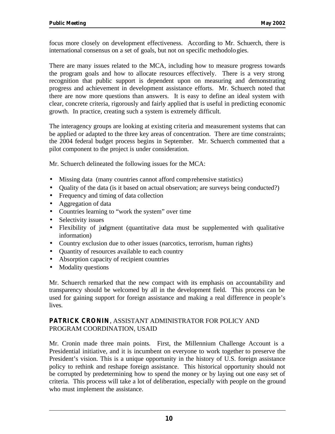focus more closely on development effectiveness. According to Mr. Schuerch, there is international consensus on a set of goals, but not on specific methodologies.

There are many issues related to the MCA, including how to measure progress towards the program goals and how to allocate resources effectively. There is a very strong recognition that public support is dependent upon on measuring and demonstrating progress and achievement in development assistance efforts. Mr. Schuerch noted that there are now more questions than answers. It is easy to define an ideal system with clear, concrete criteria, rigorously and fairly applied that is useful in predicting economic growth. In practice, creating such a system is extremely difficult.

The interagency groups are looking at existing criteria and measurement systems that can be applied or adapted to the three key areas of concentration. There are time constraints; the 2004 federal budget process begins in September. Mr. Schuerch commented that a pilot component to the project is under consideration.

Mr. Schuerch delineated the following issues for the MCA:

- Missing data (many countries cannot afford comprehensive statistics)
- Quality of the data (is it based on actual observation; are surveys being conducted?)
- Frequency and timing of data collection
- Aggregation of data
- Countries learning to "work the system" over time
- Selectivity issues
- Flexibility of judgment (quantitative data must be supplemented with qualitative information)
- Country exclusion due to other issues (narcotics, terrorism, human rights)
- Quantity of resources available to each country
- Absorption capacity of recipient countries
- Modality questions

Mr. Schuerch remarked that the new compact with its emphasis on accountability and transparency should be welcomed by all in the development field. This process can be used for gaining support for foreign assistance and making a real difference in people's lives.

#### **PATRICK CRONIN**, ASSISTANT ADMINISTRATOR FOR POLICY AND PROGRAM COORDINATION, USAID

Mr. Cronin made three main points. First, the Millennium Challenge Account is a Presidential initiative, and it is incumbent on everyone to work together to preserve the President's vision. This is a unique opportunity in the history of U.S. foreign assistance policy to rethink and reshape foreign assistance. This historical opportunity should not be corrupted by predetermining how to spend the money or by laying out one easy set of criteria. This process will take a lot of deliberation, especially with people on the ground who must implement the assistance.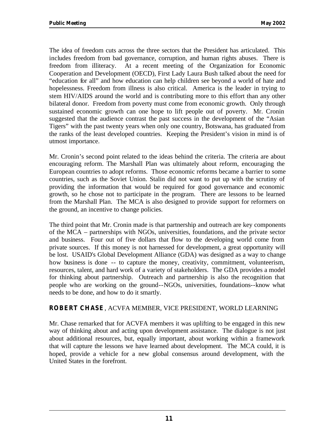The idea of freedom cuts across the three sectors that the President has articulated. This includes freedom from bad governance, corruption, and human rights abuses. There is freedom from illiteracy. At a recent meeting of the Organization for Economic Cooperation and Development (OECD), First Lady Laura Bush talked about the need for "education for all" and how education can help children see beyond a world of hate and hopelessness. Freedom from illness is also critical. America is the leader in trying to stem HIV/AIDS around the world and is contributing more to this effort than any other bilateral donor. Freedom from poverty must come from economic growth. Only through sustained economic growth can one hope to lift people out of poverty. Mr. Cronin suggested that the audience contrast the past success in the development of the "Asian Tigers" with the past twenty years when only one country, Botswana, has graduated from the ranks of the least developed countries. Keeping the President's vision in mind is of utmost importance.

Mr. Cronin's second point related to the ideas behind the criteria. The criteria are about encouraging reform. The Marshall Plan was ultimately about reform, encouraging the European countries to adopt reforms. Those economic reforms became a barrier to some countries, such as the Soviet Union. Stalin did not want to put up with the scrutiny of providing the information that would be required for good governance and economic growth, so he chose not to participate in the program. There are lessons to be learned from the Marshall Plan. The MCA is also designed to provide support for reformers on the ground, an incentive to change policies.

The third point that Mr. Cronin made is that partnership and outreach are key components of the MCA – partnerships with NGOs, universities, foundations, and the private sector and business. Four out of five dollars that flow to the developing world come from private sources. If this money is not harnessed for development, a great opportunity will be lost. USAID's Global Development Alliance (GDA) was designed as a way to change how business is done -- to capture the money, creativity, commitment, volunteerism, resources, talent, and hard work of a variety of stakeholders. The GDA provides a model for thinking about partnership. Outreach and partnership is also the recognition that people who are working on the ground--NGOs, universities, foundations--know what needs to be done, and how to do it smartly.

#### **ROBERT CHASE**, ACVFA MEMBER, VICE PRESIDENT, WORLD LEARNING

Mr. Chase remarked that for ACVFA members it was uplifting to be engaged in this new way of thinking about and acting upon development assistance. The dialogue is not just about additional resources, but, equally important, about working within a framework that will capture the lessons we have learned about development. The MCA could, it is hoped, provide a vehicle for a new global consensus around development, with the United States in the forefront.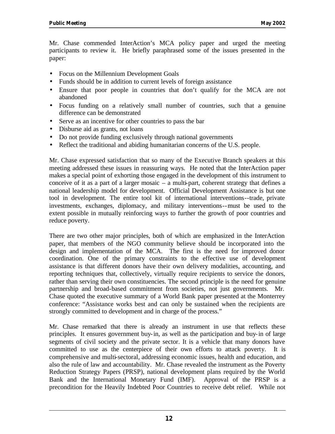Mr. Chase commended InterAction's MCA policy paper and urged the meeting participants to review it. He briefly paraphrased some of the issues presented in the paper:

- Focus on the Millennium Development Goals
- Funds should be in addition to current levels of foreign assistance
- Ensure that poor people in countries that don't qualify for the MCA are not abandoned
- Focus funding on a relatively small number of countries, such that a genuine difference can be demonstrated
- Serve as an incentive for other countries to pass the bar
- Disburse aid as grants, not loans
- Do not provide funding exclusively through national governments
- Reflect the traditional and abiding humanitarian concerns of the U.S. people.

Mr. Chase expressed satisfaction that so many of the Executive Branch speakers at this meeting addressed these issues in reassuring ways. He noted that the InterAction paper makes a special point of exhorting those engaged in the development of this instrument to conceive of it as a part of a larger mosaic – a multi-part, coherent strategy that defines a national leadership model for development. Official Development Assistance is but one tool in development. The entire tool kit of international interventions--trade, private investments, exchanges, diplomacy, and military interventions--must be used to the extent possible in mutually reinforcing ways to further the growth of poor countries and reduce poverty.

There are two other major principles, both of which are emphasized in the InterAction paper, that members of the NGO community believe should be incorporated into the design and implementation of the MCA. The first is the need for improved donor coordination. One of the primary constraints to the effective use of development assistance is that different donors have their own delivery modalities, accounting, and reporting techniques that, collectively, virtually require recipients to service the donors, rather than serving their own constituencies. The second principle is the need for genuine partnership and broad-based commitment from societies, not just governments. Mr. Chase quoted the executive summary of a World Bank paper presented at the Monterrey conference: "Assistance works best and can only be sustained when the recipients are strongly committed to development and in charge of the process."

Mr. Chase remarked that there is already an instrument in use that reflects these principles. It ensures government buy-in, as well as the participation and buy-in of large segments of civil society and the private sector. It is a vehicle that many donors have committed to use as the centerpiece of their own efforts to attack poverty. It is comprehensive and multi-sectoral, addressing economic issues, health and education, and also the rule of law and accountability. Mr. Chase revealed the instrument as the Poverty Reduction Strategy Papers (PRSP), national development plans required by the World Bank and the International Monetary Fund (IMF). Approval of the PRSP is a precondition for the Heavily Indebted Poor Countries to receive debt relief. While not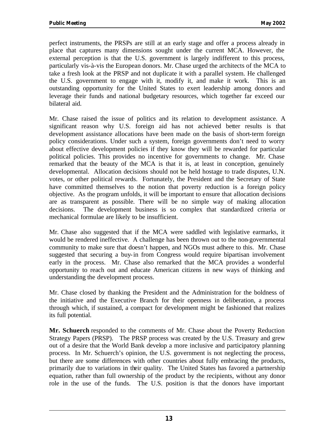perfect instruments, the PRSPs are still at an early stage and offer a process already in place that captures many dimensions sought under the current MCA. However, the external perception is that the U.S. government is largely indifferent to this process, particularly vis-à-vis the European donors. Mr. Chase urged the architects of the MCA to take a fresh look at the PRSP and not duplicate it with a parallel system. He challenged the U.S. government to engage with it, modify it, and make it work. This is an outstanding opportunity for the United States to exert leadership among donors and leverage their funds and national budgetary resources, which together far exceed our bilateral aid.

Mr. Chase raised the issue of politics and its relation to development assistance. A significant reason why U.S. foreign aid has not achieved better results is that development assistance allocations have been made on the basis of short-term foreign policy considerations. Under such a system, foreign governments don't need to worry about effective development policies if they know they will be rewarded for particular political policies. This provides no incentive for governments to change. Mr. Chase remarked that the beauty of the MCA is that it is, at least in conception, genuinely developmental. Allocation decisions should not be held hostage to trade disputes, U.N. votes, or other political rewards. Fortunately, the President and the Secretary of State have committed themselves to the notion that poverty reduction is a foreign policy objective. As the program unfolds, it will be important to ensure that allocation decisions are as transparent as possible. There will be no simple way of making allocation decisions. The development business is so complex that standardized criteria or mechanical formulae are likely to be insufficient.

Mr. Chase also suggested that if the MCA were saddled with legislative earmarks, it would be rendered ineffective. A challenge has been thrown out to the non-governmental community to make sure that doesn't happen, and NGOs must adhere to this. Mr. Chase suggested that securing a buy-in from Congress would require bipartisan involvement early in the process. Mr. Chase also remarked that the MCA provides a wonderful opportunity to reach out and educate American citizens in new ways of thinking and understanding the development process.

Mr. Chase closed by thanking the President and the Administration for the boldness of the initiative and the Executive Branch for their openness in deliberation, a process through which, if sustained, a compact for development might be fashioned that realizes its full potential.

**Mr. Schuerch** responded to the comments of Mr. Chase about the Poverty Reduction Strategy Papers (PRSP). The PRSP process was created by the U.S. Treasury and grew out of a desire that the World Bank develop a more inclusive and participatory planning process. In Mr. Schuerch's opinion, the U.S. government is not neglecting the process, but there are some differences with other countries about fully embracing the products, primarily due to variations in their quality. The United States has favored a partnership equation, rather than full ownership of the product by the recipients, without any donor role in the use of the funds. The U.S. position is that the donors have important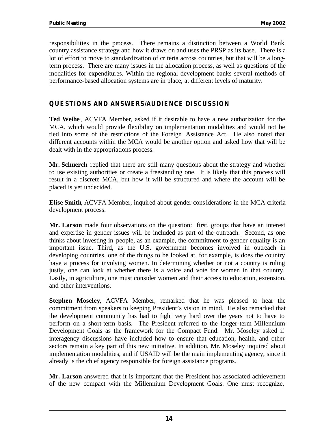responsibilities in the process. There remains a distinction between a World Bank country assistance strategy and how it draws on and uses the PRSP as its base. There is a lot of effort to move to standardization of criteria across countries, but that will be a longterm process. There are many issues in the allocation process, as well as questions of the modalities for expenditures. Within the regional development banks several methods of performance-based allocation systems are in place, at different levels of maturity.

#### **QUESTIONS AND ANSWERS/AUDIENCE DISCUSSION**

**Ted Weihe**, ACVFA Member, asked if it desirable to have a new authorization for the MCA, which would provide flexibility on implementation modalities and would not be tied into some of the restrictions of the Foreign Assistance Act. He also noted that different accounts within the MCA would be another option and asked how that will be dealt with in the appropriations process.

**Mr. Schuerch** replied that there are still many questions about the strategy and whether to use existing authorities or create a freestanding one. It is likely that this process will result in a discrete MCA, but how it will be structured and where the account will be placed is yet undecided.

**Elise Smith**, ACVFA Member, inquired about gender considerations in the MCA criteria development process.

**Mr. Larson** made four observations on the question: first, groups that have an interest and expertise in gender issues will be included as part of the outreach. Second, as one thinks about investing in people, as an example, the commitment to gender equality is an important issue. Third, as the U.S. government becomes involved in outreach in developing countries, one of the things to be looked at, for example, is does the country have a process for involving women. In determining whether or not a country is ruling justly, one can look at whether there is a voice and vote for women in that country. Lastly, in agriculture, one must consider women and their access to education, extension, and other interventions.

**Stephen Moseley**, ACVFA Member, remarked that he was pleased to hear the commitment from speakers to keeping President's vision in mind. He also remarked that the development community has had to fight very hard over the years not to have to perform on a short-term basis. The President referred to the longer-term Millennium Development Goals as the framework for the Compact Fund. Mr. Moseley asked if interagency discussions have included how to ensure that education, health, and other sectors remain a key part of this new initiative. In addition, Mr. Moseley inquired about implementation modalities, and if USAID will be the main implementing agency, since it already is the chief agency responsible for foreign assistance programs.

**Mr. Larson** answered that it is important that the President has associated achievement of the new compact with the Millennium Development Goals. One must recognize,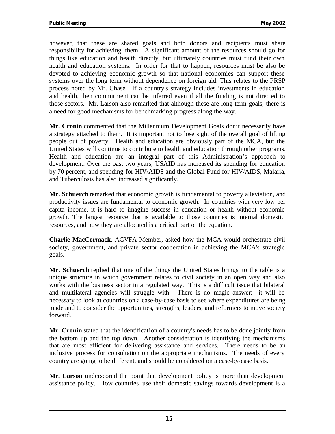however, that these are shared goals and both donors and recipients must share responsibility for achieving them. A significant amount of the resources should go for things like education and health directly, but ultimately countries must fund their own health and education systems. In order for that to happen, resources must be also be devoted to achieving economic growth so that national economies can support these systems over the long term without dependence on foreign aid. This relates to the PRSP process noted by Mr. Chase. If a country's strategy includes investments in education and health, then commitment can be inferred even if all the funding is not directed to those sectors. Mr. Larson also remarked that although these are long-term goals, there is a need for good mechanisms for benchmarking progress along the way.

**Mr. Cronin** commented that the Millennium Development Goals don't necessarily have a strategy attached to them. It is important not to lose sight of the overall goal of lifting people out of poverty. Health and education are obviously part of the MCA, but the United States will continue to contribute to health and education through other programs. Health and education are an integral part of this Administration's approach to development. Over the past two years, USAID has increased its spending for education by 70 percent, and spending for HIV/AIDS and the Global Fund for HIV/AIDS, Malaria, and Tuberculosis has also increased significantly.

**Mr. Schuerch** remarked that economic growth is fundamental to poverty alleviation, and productivity issues are fundamental to economic growth. In countries with very low per capita income, it is hard to imagine success in education or health without economic growth. The largest resource that is available to those countries is internal domestic resources, and how they are allocated is a critical part of the equation.

**Charlie MacCormack**, ACVFA Member, asked how the MCA would orchestrate civil society, government, and private sector cooperation in achieving the MCA's strategic goals.

**Mr. Schuerch** replied that one of the things the United States brings to the table is a unique structure in which government relates to civil society in an open way and also works with the business sector in a regulated way. This is a difficult issue that bilateral and multilateral agencies will struggle with. There is no magic answer: it will be necessary to look at countries on a case-by-case basis to see where expenditures are being made and to consider the opportunities, strengths, leaders, and reformers to move society forward.

**Mr. Cronin** stated that the identification of a country's needs has to be done jointly from the bottom up and the top down. Another consideration is identifying the mechanisms that are most efficient for delivering assistance and services. There needs to be an inclusive process for consultation on the appropriate mechanisms. The needs of every country are going to be different, and should be considered on a case-by-case basis.

**Mr. Larson** underscored the point that development policy is more than development assistance policy. How countries use their domestic savings towards development is a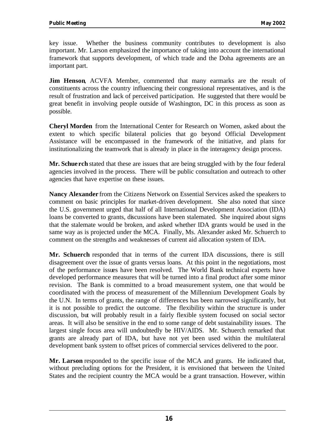key issue. Whether the business community contributes to development is also important. Mr. Larson emphasized the importance of taking into account the international framework that supports development, of which trade and the Doha agreements are an important part.

**Jim Henson, ACVFA Member, commented that many earmarks are the result of** constituents across the country influencing their congressional representatives, and is the result of frustration and lack of perceived participation. He suggested that there would be great benefit in involving people outside of Washington, DC in this process as soon as possible.

**Cheryl Morden** from the International Center for Research on Women, asked about the extent to which specific bilateral policies that go beyond Official Development Assistance will be encompassed in the framework of the initiative, and plans for institutionalizing the teamwork that is already in place in the interagency design process.

**Mr. Schuerch** stated that these are issues that are being struggled with by the four federal agencies involved in the process. There will be public consultation and outreach to other agencies that have expertise on these issues.

**Nancy Alexander** from the Citizens Network on Essential Services asked the speakers to comment on basic principles for market-driven development. She also noted that since the U.S. government urged that half of all International Development Association (IDA) loans be converted to grants, discussions have been stalemated. She inquired about signs that the stalemate would be broken, and asked whether IDA grants would be used in the same way as is projected under the MCA. Finally, Ms. Alexander asked Mr. Schuerch to comment on the strengths and weaknesses of current aid allocation system of IDA.

**Mr. Schuerch** responded that in terms of the current IDA discussions, there is still disagreement over the issue of grants versus loans. At this point in the negotiations, most of the performance issues have been resolved. The World Bank technical experts have developed performance measures that will be turned into a final product after some minor revision. The Bank is committed to a broad measurement system, one that would be coordinated with the process of measurement of the Millennium Development Goals by the U.N. In terms of grants, the range of differences has been narrowed significantly, but it is not possible to predict the outcome. The flexibility within the structure is under discussion, but will probably result in a fairly flexible system focused on social sector areas. It will also be sensitive in the end to some range of debt sustainability issues. The largest single focus area will undoubtedly be HIV/AIDS. Mr. Schuerch remarked that grants are already part of IDA, but have not yet been used within the multilateral development bank system to offset prices of commercial services delivered to the poor.

**Mr. Larson** responded to the specific issue of the MCA and grants. He indicated that, without precluding options for the President, it is envisioned that between the United States and the recipient country the MCA would be a grant transaction. However, within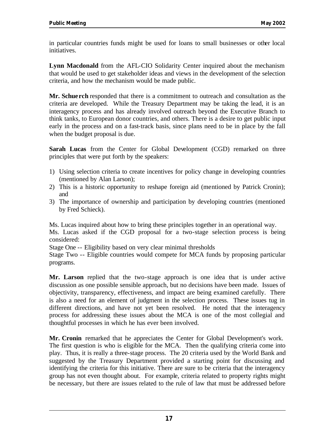in particular countries funds might be used for loans to small businesses or other local initiatives.

**Lynn Macdonald** from the AFL-CIO Solidarity Center inquired about the mechanism that would be used to get stakeholder ideas and views in the development of the selection criteria, and how the mechanism would be made public.

**Mr. Schuerch** responded that there is a commitment to outreach and consultation as the criteria are developed. While the Treasury Department may be taking the lead, it is an interagency process and has already involved outreach beyond the Executive Branch to think tanks, to European donor countries, and others. There is a desire to get public input early in the process and on a fast-track basis, since plans need to be in place by the fall when the budget proposal is due.

**Sarah Lucas** from the Center for Global Development (CGD) remarked on three principles that were put forth by the speakers:

- 1) Using selection criteria to create incentives for policy change in developing countries (mentioned by Alan Larson);
- 2) This is a historic opportunity to reshape foreign aid (mentioned by Patrick Cronin); and
- 3) The importance of ownership and participation by developing countries (mentioned by Fred Schieck).

Ms. Lucas inquired about how to bring these principles together in an operational way. Ms. Lucas asked if the CGD proposal for a two-stage selection process is being considered:

Stage One -- Eligibility based on very clear minimal thresholds

Stage Two -- Eligible countries would compete for MCA funds by proposing particular programs.

**Mr. Larson** replied that the two-stage approach is one idea that is under active discussion as one possible sensible approach, but no decisions have been made. Issues of objectivity, transparency, effectiveness, and impact are being examined carefully. There is also a need for an element of judgment in the selection process. These issues tug in different directions, and have not yet been resolved. He noted that the interagency process for addressing these issues about the MCA is one of the most collegial and thoughtful processes in which he has ever been involved.

**Mr. Cronin** remarked that he appreciates the Center for Global Development's work. The first question is who is eligible for the MCA. Then the qualifying criteria come into play. Thus, it is really a three-stage process. The 20 criteria used by the World Bank and suggested by the Treasury Department provided a starting point for discussing and identifying the criteria for this initiative. There are sure to be criteria that the interagency group has not even thought about. For example, criteria related to property rights might be necessary, but there are issues related to the rule of law that must be addressed before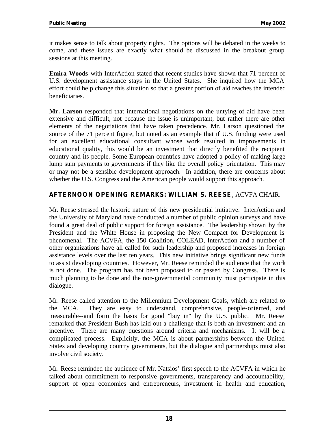it makes sense to talk about property rights. The options will be debated in the weeks to come, and these issues are exactly what should be discussed in the breakout group sessions at this meeting.

**Emira Woods** with InterAction stated that recent studies have shown that 71 percent of U.S. development assistance stays in the United States. She inquired how the MCA effort could help change this situation so that a greater portion of aid reaches the intended beneficiaries.

**Mr. Larson** responded that international negotiations on the untying of aid have been extensive and difficult, not because the issue is unimportant, but rather there are other elements of the negotiations that have taken precedence. Mr. Larson questioned the source of the 71 percent figure, but noted as an example that if U.S. funding were used for an excellent educational consultant whose work resulted in improvements in educational quality, this would be an investment that directly benefited the recipient country and its people. Some European countries have adopted a policy of making large lump sum payments to governments if they like the overall policy orientation. This may or may not be a sensible development approach. In addition, there are concerns about whether the U.S. Congress and the American people would support this approach.

#### **AFTERNOON OPENING REMARKS: WILLIAM S. REESE**, ACVFA CHAIR.

Mr. Reese stressed the historic nature of this new presidential initiative. InterAction and the University of Maryland have conducted a number of public opinion surveys and have found a great deal of public support for foreign assistance. The leadership shown by the President and the White House in proposing the New Compact for Development is phenomenal. The ACVFA, the 150 Coalition, COLEAD, InterAction and a number of other organizations have all called for such leadership and proposed increases in foreign assistance levels over the last ten years. This new initiative brings significant new funds to assist developing countries. However, Mr. Reese reminded the audience that the work is not done. The program has not been proposed to or passed by Congress. There is much planning to be done and the non-governmental community must participate in this dialogue.

Mr. Reese called attention to the Millennium Development Goals, which are related to the MCA. They are easy to understand, comprehensive, people-oriented, and measurable--and form the basis for good "buy in" by the U.S. public. Mr. Reese remarked that President Bush has laid out a challenge that is both an investment and an incentive. There are many questions around criteria and mechanisms. It will be a complicated process. Explicitly, the MCA is about partnerships between the United States and developing country governments, but the dialogue and partnerships must also involve civil society.

Mr. Reese reminded the audience of Mr. Natsios' first speech to the ACVFA in which he talked about commitment to responsive governments, transparency and accountability, support of open economies and entrepreneurs, investment in health and education,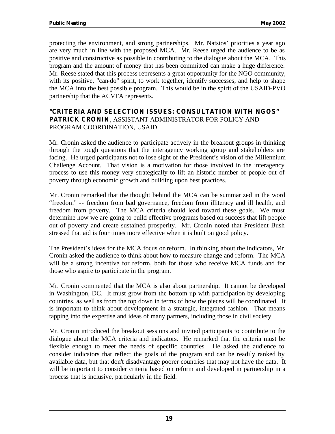protecting the environment, and strong partnerships. Mr. Natsios' priorities a year ago are very much in line with the proposed MCA. Mr. Reese urged the audience to be as positive and constructive as possible in contributing to the dialogue about the MCA. This program and the amount of money that has been committed can make a huge difference. Mr. Reese stated that this process represents a great opportunity for the NGO community, with its positive, "can-do" spirit, to work together, identify successes, and help to shape the MCA into the best possible program. This would be in the spirit of the USAID-PVO partnership that the ACVFA represents.

#### **"CRITERIA AND SELECTION ISSUES: CONSULTATION WITH NGOS" PATRICK CRONIN**, ASSISTANT ADMINISTRATOR FOR POLICY AND PROGRAM COORDINATION, USAID

Mr. Cronin asked the audience to participate actively in the breakout groups in thinking through the tough questions that the interagency working group and stakeholders are facing. He urged participants not to lose sight of the President's vision of the Millennium Challenge Account. That vision is a motivation for those involved in the interagency process to use this money very strategically to lift an historic number of people out of poverty through economic growth and building upon best practices.

Mr. Cronin remarked that the thought behind the MCA can be summarized in the word "freedom" -- freedom from bad governance, freedom from illiteracy and ill health, and freedom from poverty. The MCA criteria should lead toward these goals. We must determine how we are going to build effective programs based on success that lift people out of poverty and create sustained prosperity. Mr. Cronin noted that President Bush stressed that aid is four times more effective when it is built on good policy.

The President's ideas for the MCA focus on reform. In thinking about the indicators, Mr. Cronin asked the audience to think about how to measure change and reform. The MCA will be a strong incentive for reform, both for those who receive MCA funds and for those who aspire to participate in the program.

Mr. Cronin commented that the MCA is also about partnership. It cannot be developed in Washington, DC. It must grow from the bottom up with participation by developing countries, as well as from the top down in terms of how the pieces will be coordinated. It is important to think about development in a strategic, integrated fashion. That means tapping into the expertise and ideas of many partners, including those in civil society.

Mr. Cronin introduced the breakout sessions and invited participants to contribute to the dialogue about the MCA criteria and indicators. He remarked that the criteria must be flexible enough to meet the needs of specific countries. He asked the audience to consider indicators that reflect the goals of the program and can be readily ranked by available data, but that don't disadvantage poorer countries that may not have the data. It will be important to consider criteria based on reform and developed in partnership in a process that is inclusive, particularly in the field.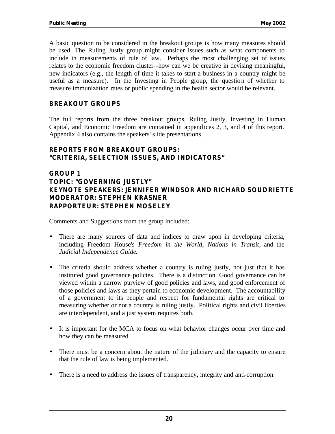A basic question to be considered in the breakout groups is how many measures should be used. The Ruling Justly group might consider issues such as what components to include in measurements of rule of law. Perhaps the most challenging set of issues relates to the economic freedom cluster--how can we be creative in devising meaningful, new indicators (e.g., the length of time it takes to start a business in a country might be useful as a measure). In the Investing in People group, the question of whether to measure immunization rates or public spending in the health sector would be relevant.

#### **BREAKOUT GROUPS**

The full reports from the three breakout groups, Ruling Justly, Investing in Human Capital, and Economic Freedom are contained in appendices 2, 3, and 4 of this report. Appendix 4 also contains the speakers' slide presentations.

#### **REPORTS FROM BREAKOUT GROUPS: "CRITERIA, SELECTION ISSUES, AND INDICATORS"**

#### **GROUP 1 TOPIC: "GOVERNING JUSTLY" KEYNOTE SPEAKERS: JENNIFER WINDSOR AND RICHARD SOUDRIETTE MODERATOR: STEPHEN KRASNER RAPPORTEUR: STEPHEN MOSELEY**

Comments and Suggestions from the group included:

- There are many sources of data and indices to draw upon in developing criteria, including Freedom House's *Freedom in the World*, *Nations in Transit*, and the *Judicial Independence Guide*.
- The criteria should address whether a country is ruling justly, not just that it has instituted good governance policies. There is a distinction. Good governance can be viewed within a narrow purview of good policies and laws, and good enforcement of those policies and laws as they pertain to economic development. The accountability of a government to its people and respect for fundamental rights are critical to measuring whether or not a country is ruling justly. Political rights and civil liberties are interdependent, and a just system requires both.
- It is important for the MCA to focus on what behavior changes occur over time and how they can be measured.
- There must be a concern about the nature of the judiciary and the capacity to ensure that the rule of law is being implemented.
- There is a need to address the issues of transparency, integrity and anti-corruption.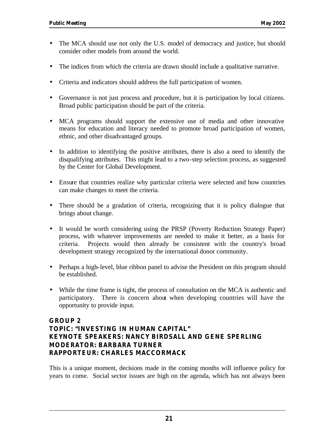- The MCA should use not only the U.S. model of democracy and justice, but should consider other models from around the world.
- The indices from which the criteria are drawn should include a qualitative narrative.
- Criteria and indicators should address the full participation of women.
- Governance is not just process and procedure, but it is participation by local citizens. Broad public participation should be part of the criteria.
- MCA programs should support the extensive use of media and other innovative means for education and literacy needed to promote broad participation of women, ethnic, and other disadvantaged groups.
- In addition to identifying the positive attributes, there is also a need to identify the disqualifying attributes. This might lead to a two-step selection process, as suggested by the Center for Global Development.
- Ensure that countries realize why particular criteria were selected and how countries can make changes to meet the criteria.
- There should be a gradation of criteria, recognizing that it is policy dialogue that brings about change.
- It would be worth considering using the PRSP (Poverty Reduction Strategy Paper) process, with whatever improvements are needed to make it better, as a basis for criteria. Projects would then already be consistent with the country's broad development strategy recognized by the international donor community.
- Perhaps a high-level, blue ribbon panel to advise the President on this program should be established.
- While the time frame is tight, the process of consultation on the MCA is authentic and participatory. There is concern about when developing countries will have the opportunity to provide input.

#### **GROUP 2 TOPIC: "INVESTING IN HUMAN CAPITAL" KEYNOTE SPEAKERS: NANCY BIRDSALL AND GENE SPERLING MODERATOR: BARBARA TURNER RAPPORTEUR: CHARLES MACCORMACK**

This is a unique moment, decisions made in the coming months will influence policy for years to come. Social sector issues are high on the agenda, which has not always been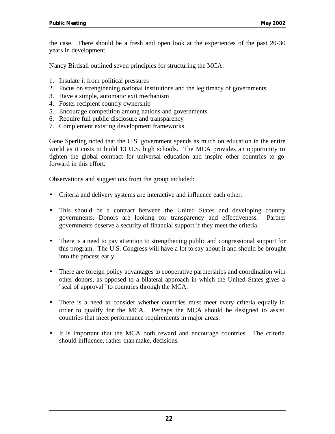the case. There should be a fresh and open look at the experiences of the past 20-30 years in development.

Nancy Birdsall outlined seven principles for structuring the MCA:

- 1. Insulate it from political pressures
- 2. Focus on strengthening national institutions and the legitimacy of governments
- 3. Have a simple, automatic exit mechanism
- 4. Foster recipient country ownership
- 5. Encourage competition among nations and governments
- 6. Require full public disclosure and transparency
- 7. Complement existing development frameworks

Gene Sperling noted that the U.S. government spends as much on education in the entire world as it costs to build 13 U.S. high schools. The MCA provides an opportunity to tighten the global compact for universal education and inspire other countries to go forward in this effort.

Observations and suggestions from the group included:

- Criteria and delivery systems are interactive and influence each other.
- This should be a contract between the United States and developing country governments. Donors are looking for transparency and effectiveness. Partner governments deserve a security of financial support if they meet the criteria.
- There is a need to pay attention to strengthening public and congressional support for this program. The U.S. Congress will have a lot to say about it and should be brought into the process early.
- There are foreign policy advantages to cooperative partnerships and coordination with other donors, as opposed to a bilateral approach in which the United States gives a "seal of approval" to countries through the MCA.
- There is a need to consider whether countries must meet every criteria equally in order to qualify for the MCA. Perhaps the MCA should be designed to assist countries that meet performance requirements in major areas.
- It is important that the MCA both reward and encourage countries. The criteria should influence, rather than make, decisions.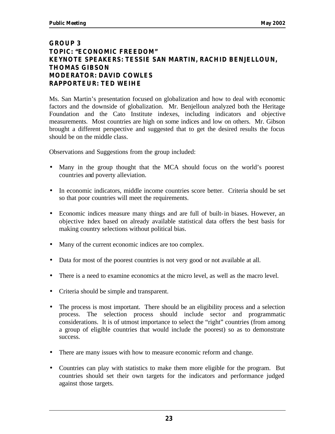#### **GROUP 3 TOPIC: "ECONOMIC FREEDOM" KEYNOTE SPEAKERS: TESSIE SAN MARTIN, RACHID BENJELLOUN, THOMAS GIBSON MODERATOR: DAVID COWLES RAPPORTEUR: TED WEIHE**

Ms. San Martin's presentation focused on globalization and how to deal with economic factors and the downside of globalization. Mr. Benjelloun analyzed both the Heritage Foundation and the Cato Institute indexes, including indicators and objective measurements. Most countries are high on some indices and low on others. Mr. Gibson brought a different perspective and suggested that to get the desired results the focus should be on the middle class.

Observations and Suggestions from the group included:

- Many in the group thought that the MCA should focus on the world's poorest countries and poverty alleviation.
- In economic indicators, middle income countries score better. Criteria should be set so that poor countries will meet the requirements.
- Economic indices measure many things and are full of built-in biases. However, an objective index based on already available statistical data offers the best basis for making country selections without political bias.
- Many of the current economic indices are too complex.
- Data for most of the poorest countries is not very good or not available at all.
- There is a need to examine economics at the micro level, as well as the macro level.
- Criteria should be simple and transparent.
- The process is most important. There should be an eligibility process and a selection process. The selection process should include sector and programmatic considerations. It is of utmost importance to select the "right" countries (from among a group of eligible countries that would include the poorest) so as to demonstrate success.
- There are many issues with how to measure economic reform and change.
- Countries can play with statistics to make them more eligible for the program. But countries should set their own targets for the indicators and performance judged against those targets.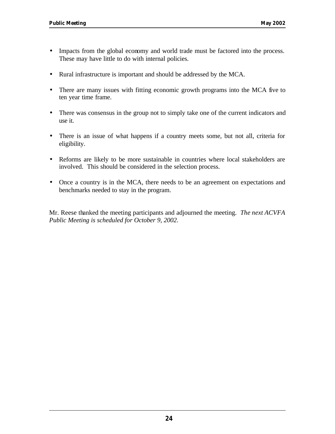- Impacts from the global economy and world trade must be factored into the process. These may have little to do with internal policies.
- Rural infrastructure is important and should be addressed by the MCA.
- There are many issues with fitting economic growth programs into the MCA five to ten year time frame.
- There was consensus in the group not to simply take one of the current indicators and use it.
- There is an issue of what happens if a country meets some, but not all, criteria for eligibility.
- Reforms are likely to be more sustainable in countries where local stakeholders are involved. This should be considered in the selection process.
- Once a country is in the MCA, there needs to be an agreement on expectations and benchmarks needed to stay in the program.

Mr. Reese thanked the meeting participants and adjourned the meeting. *The next ACVFA Public Meeting is scheduled for October 9, 2002.*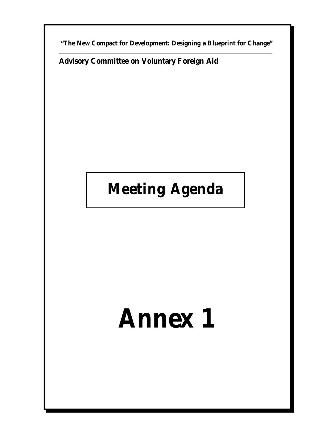**"The New Compact for Development: Designing a Blueprint for Change"** \_\_\_\_\_\_\_\_\_\_\_\_\_\_\_\_\_\_\_\_\_\_\_\_\_\_\_\_\_\_\_\_\_\_\_\_\_\_\_\_\_\_\_\_\_\_\_\_\_\_\_\_\_\_\_\_\_\_\_\_\_\_\_\_\_\_\_\_\_\_\_\_\_\_\_\_\_\_\_\_\_\_\_\_\_\_\_\_\_\_\_\_\_\_\_\_\_\_\_\_\_\_\_\_\_\_\_\_\_\_\_\_\_\_\_\_\_\_\_\_\_\_\_\_\_\_\_\_\_\_

**Advisory Committee on Voluntary Foreign Aid**

## **Meeting Agenda**

# **Annex 1**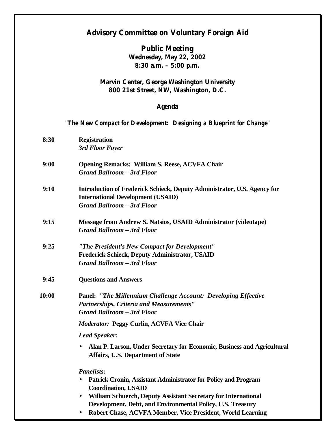#### **Advisory Committee on Voluntary Foreign Aid**

**Public Meeting Wednesday, May 22, 2002 8:30 a.m. – 5:00 p.m.** 

#### **Marvin Center, George Washington University 800 21st Street, NW, Washington, D.C.**

#### **Agenda**

## *"The New Compact for Development: Designing a Blueprint for Change"*

| 8:30  | <b>Registration</b><br>3rd Floor Foyer                                                                                                                    |
|-------|-----------------------------------------------------------------------------------------------------------------------------------------------------------|
| 9:00  | <b>Opening Remarks: William S. Reese, ACVFA Chair</b><br><b>Grand Ballroom - 3rd Floor</b>                                                                |
| 9:10  | Introduction of Frederick Schieck, Deputy Administrator, U.S. Agency for<br><b>International Development (USAID)</b><br><b>Grand Ballroom - 3rd Floor</b> |
| 9:15  | <b>Message from Andrew S. Natsios, USAID Administrator (videotape)</b><br><b>Grand Ballroom - 3rd Floor</b>                                               |
| 9:25  | "The President's New Compact for Development"<br>Frederick Schieck, Deputy Administrator, USAID<br><b>Grand Ballroom - 3rd Floor</b>                      |
| 9:45  | <b>Questions and Answers</b>                                                                                                                              |
| 10:00 | <b>Panel: "The Millennium Challenge Account: Developing Effective</b><br>Partnerships, Criteria and Measurements"<br><b>Grand Ballroom - 3rd Floor</b>    |
|       | <b>Moderator: Peggy Curlin, ACVFA Vice Chair</b>                                                                                                          |
|       | <b>Lead Speaker:</b>                                                                                                                                      |
|       | Alan P. Larson, Under Secretary for Economic, Business and Agricultural<br>$\bullet$<br>Affairs, U.S. Department of State                                 |
|       | <b>Panelists:</b>                                                                                                                                         |
|       | Patrick Cronin, Assistant Administrator for Policy and Program<br>$\bullet$<br><b>Coordination, USAID</b>                                                 |
|       | William Schuerch, Deputy Assistant Secretary for International<br>$\bullet$<br>Development, Debt, and Environmental Policy, U.S. Treasury                 |

• **Robert Chase, ACVFA Member, Vice President, World Learning**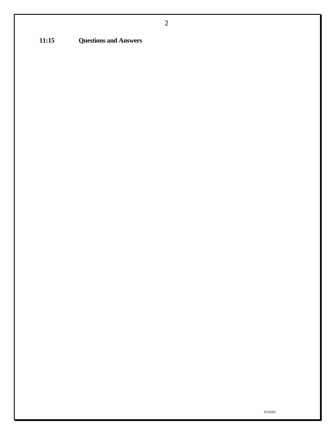**11:15 Questions and Answers**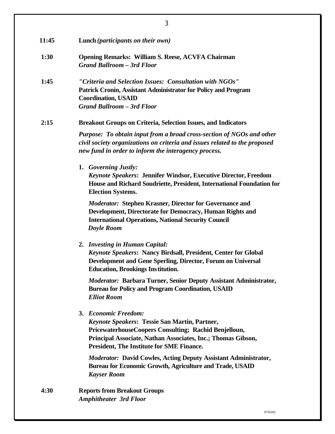| 11:45 | Lunch (participants on their own)                                                                                                                                                                                                                         |
|-------|-----------------------------------------------------------------------------------------------------------------------------------------------------------------------------------------------------------------------------------------------------------|
| 1:30  | <b>Opening Remarks: William S. Reese, ACVFA Chairman</b><br><b>Grand Ballroom - 3rd Floor</b>                                                                                                                                                             |
| 1:45  | "Criteria and Selection Issues: Consultation with NGOs"<br>Patrick Cronin, Assistant Administrator for Policy and Program<br><b>Coordination, USAID</b><br><b>Grand Ballroom - 3rd Floor</b>                                                              |
| 2:15  | <b>Breakout Groups on Criteria, Selection Issues, and Indicators</b>                                                                                                                                                                                      |
|       | Purpose: To obtain input from a broad cross-section of NGOs and other<br>civil society organizations on criteria and issues related to the proposed<br>new fund in order to inform the interagency process.                                               |
|       | 1. Governing Justly:<br><b>Keynote Speakers: Jennifer Windsor, Executive Director, Freedom</b><br>House and Richard Soudriette, President, International Foundation for<br><b>Election Systems.</b>                                                       |
|       | <b>Moderator: Stephen Krasner, Director for Governance and</b><br>Development, Directorate for Democracy, Human Rights and<br><b>International Operations, National Security Council</b><br><b>Doyle Room</b>                                             |
|       | 2. Investing in Human Capital:<br>Keynote Speakers: Nancy Birdsall, President, Center for Global<br>Development and Gene Sperling, Director, Forum on Universal<br><b>Education, Brookings Institution.</b>                                               |
|       | <b>Moderator: Barbara Turner, Senior Deputy Assistant Administrator,</b><br><b>Bureau for Policy and Program Coordination, USAID</b><br><b>Elliot Room</b>                                                                                                |
|       | 3. Economic Freedom:<br><b>Keynote Speakers: Tessie San Martin, Partner,</b><br>PricewaterhouseCoopers Consulting; Rachid Benjelloun,<br>Principal Associate, Nathan Associates, Inc.; Thomas Gibson,<br><b>President, The Institute for SME Finance.</b> |
|       | <b>Moderator:</b> David Cowles, Acting Deputy Assistant Administrator,<br><b>Bureau for Economic Growth, Agriculture and Trade, USAID</b><br><b>Kayser Room</b>                                                                                           |
| 4:30  | <b>Reports from Breakout Groups</b><br><b>Amphitheater 3rd Floor</b>                                                                                                                                                                                      |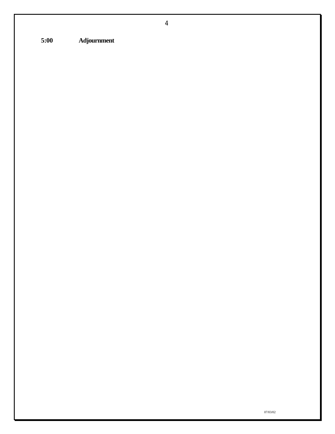**5:00 Adjournment**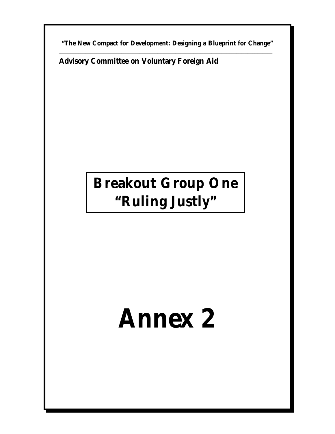**"The New Compact for Development: Designing a Blueprint for Change"** \_\_\_\_\_\_\_\_\_\_\_\_\_\_\_\_\_\_\_\_\_\_\_\_\_\_\_\_\_\_\_\_\_\_\_\_\_\_\_\_\_\_\_\_\_\_\_\_\_\_\_\_\_\_\_\_\_\_\_\_\_\_\_\_\_\_\_\_\_\_\_\_\_\_\_\_\_\_\_\_\_\_\_\_\_\_\_\_\_\_\_\_\_\_\_\_\_\_\_\_\_\_\_\_\_\_\_\_\_\_\_\_\_\_\_\_\_\_\_\_\_\_\_\_\_\_\_\_\_\_

**Advisory Committee on Voluntary Foreign Aid**

## **Breakout Group One "Ruling Justly"**

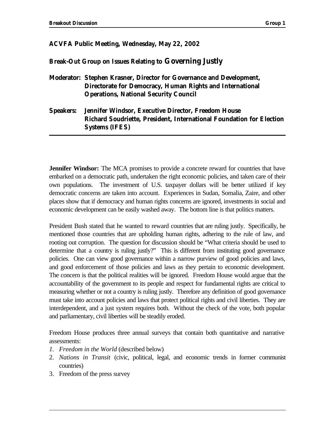#### **ACVFA Public Meeting, Wednesday, May 22, 2002**

#### **Break-Out Group on Issues Relating to Governing Justly**

**Moderator: Stephen Krasner, Director for Governance and Development, Directorate for Democracy, Human Rights and International Operations, National Security Council**

#### **Speakers: Jennifer Windsor, Executive Director, Freedom House Richard Soudriette, President, International Foundation for Election Systems (IFES)**

**Jennifer Windsor:** The MCA promises to provide a concrete reward for countries that have embarked on a democratic path, undertaken the right economic policies, and taken care of their own populations. The investment of U.S. taxpayer dollars will be better utilized if key democratic concerns are taken into account. Experiences in Sudan, Somalia, Zaire, and other places show that if democracy and human rights concerns are ignored, investments in social and economic development can be easily washed away. The bottom line is that politics matters.

President Bush stated that he wanted to reward countries that are ruling justly. Specifically, he mentioned those countries that are upholding human rights, adhering to the rule of law, and rooting out corruption. The question for discussion should be "What criteria should be used to determine that a country is ruling justly?" This is different from instituting good governance policies. One can view good governance within a narrow purview of good policies and laws, and good enforcement of those policies and laws as they pertain to economic development. The concern is that the political realities will be ignored. Freedom House would argue that the accountability of the government to its people and respect for fundamental rights are critical to measuring whether or not a country is ruling justly. Therefore any definition of good governance must take into account policies and laws that protect political rights and civil liberties. They are interdependent, and a just system requires both. Without the check of the vote, both popular and parliamentary, civil liberties will be steadily eroded.

Freedom House produces three annual surveys that contain both quantitative and narrative assessments:

- *1. Freedom in the World* (described below)
- 2. *Nations in Transit* (civic, political, legal, and economic trends in former communist countries)
- 3. Freedom of the press survey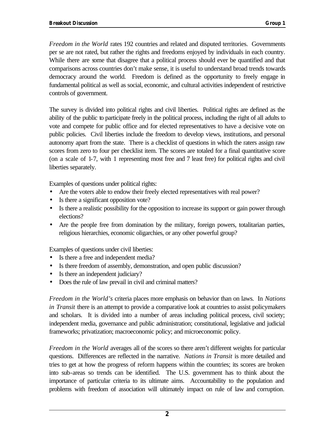*Freedom in the World* rates 192 countries and related and disputed territories. Governments per se are not rated, but rather the rights and freedoms enjoyed by individuals in each country. While there are some that disagree that a political process should ever be quantified and that comparisons across countries don't make sense, it is useful to understand broad trends towards democracy around the world. Freedom is defined as the opportunity to freely engage in fundamental political as well as social, economic, and cultural activities independent of restrictive controls of government.

The survey is divided into political rights and civil liberties. Political rights are defined as the ability of the public to participate freely in the political process, including the right of all adults to vote and compete for public office and for elected representatives to have a decisive vote on public policies. Civil liberties include the freedom to develop views, institutions, and personal autonomy apart from the state. There is a checklist of questions in which the raters assign raw scores from zero to four per checklist item. The scores are totaled for a final quantitative score (on a scale of 1-7, with 1 representing most free and 7 least free) for political rights and civil liberties separately.

Examples of questions under political rights:

- Are the voters able to endow their freely elected representatives with real power?
- Is there a significant opposition vote?
- Is there a realistic possibility for the opposition to increase its support or gain power through elections?
- Are the people free from domination by the military, foreign powers, totalitarian parties, religious hierarchies, economic oligarchies, or any other powerful group?

Examples of questions under civil liberties:

- Is there a free and independent media?
- Is there freedom of assembly, demonstration, and open public discussion?
- Is there an independent judiciary?
- Does the rule of law prevail in civil and criminal matters?

*Freedom in the World's* criteria places more emphasis on behavior than on laws. In *Nations in Transit* there is an attempt to provide a comparative look at countries to assist policymakers and scholars. It is divided into a number of areas including political process, civil society; independent media, governance and public administration; constitutional, legislative and judicial frameworks; privatization; macroeconomic policy; and microeconomic policy.

*Freedom in the World* averages all of the scores so there aren't different weights for particular questions. Differences are reflected in the narrative. *Nations in Transit* is more detailed and tries to get at how the progress of reform happens within the countries; its scores are broken into sub-areas so trends can be identified. The U.S. government has to think about the importance of particular criteria to its ultimate aims. Accountability to the population and problems with freedom of association will ultimately impact on rule of law and corruption.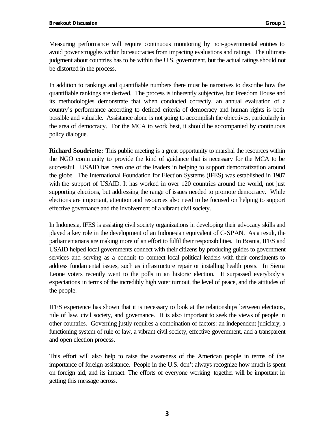Measuring performance will require continuous monitoring by non-governmental entities to avoid power struggles within bureaucracies from impacting evaluations and ratings. The ultimate judgment about countries has to be within the U.S. government, but the actual ratings should not be distorted in the process.

In addition to rankings and quantifiable numbers there must be narratives to describe how the quantifiable rankings are derived. The process is inherently subjective, but Freedom House and its methodologies demonstrate that when conducted correctly, an annual evaluation of a country's performance according to defined criteria of democracy and human rights is both possible and valuable. Assistance alone is not going to accomplish the objectives, particularly in the area of democracy. For the MCA to work best, it should be accompanied by continuous policy dialogue.

**Richard Soudriette:** This public meeting is a great opportunity to marshal the resources within the NGO community to provide the kind of guidance that is necessary for the MCA to be successful. USAID has been one of the leaders in helping to support democratization around the globe. The International Foundation for Election Systems (IFES) was established in 1987 with the support of USAID. It has worked in over 120 countries around the world, not just supporting elections, but addressing the range of issues needed to promote democracy. While elections are important, attention and resources also need to be focused on helping to support effective governance and the involvement of a vibrant civil society.

In Indonesia, IFES is assisting civil society organizations in developing their advocacy skills and played a key role in the development of an Indonesian equivalent of C-SPAN. As a result, the parliamentarians are making more of an effort to fulfil their responsibilities. In Bosnia, IFES and USAID helped local governments connect with their citizens by producing guides to government services and serving as a conduit to connect local political leaders with their constituents to address fundamental issues, such as infrastructure repair or installing health posts. In Sierra Leone voters recently went to the polls in an historic election. It surpassed everybody's expectations in terms of the incredibly high voter turnout, the level of peace, and the attitudes of the people.

IFES experience has shown that it is necessary to look at the relationships between elections, rule of law, civil society, and governance. It is also important to seek the views of people in other countries. Governing justly requires a combination of factors: an independent judiciary, a functioning system of rule of law, a vibrant civil society, effective government, and a transparent and open election process.

This effort will also help to raise the awareness of the American people in terms of the importance of foreign assistance. People in the U.S. don't always recognize how much is spent on foreign aid, and its impact. The efforts of everyone working together will be important in getting this message across.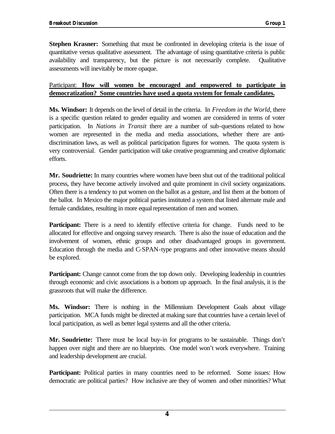**Stephen Krasner:** Something that must be confronted in developing criteria is the issue of quantitative versus qualitative assessment. The advantage of using quantitative criteria is public availability and transparency, but the picture is not necessarily complete. Qualitative assessments will inevitably be more opaque.

#### Participant: **How will women be encouraged and empowered to participate in democratization? Some countries have used a quota system for female candidates.**

**Ms. Windsor:** It depends on the level of detail in the criteria. In *Freedom in the World*, there is a specific question related to gender equality and women are considered in terms of voter participation. In *Nations in Transit* there are a number of sub-questions related to how women are represented in the media and media associations, whether there are antidiscrimination laws, as well as political participation figures for women. The quota system is very controversial. Gender participation will take creative programming and creative diplomatic efforts.

**Mr. Soudriette:** In many countries where women have been shut out of the traditional political process, they have become actively involved and quite prominent in civil society organizations. Often there is a tendency to put women on the ballot as a gesture, and list them at the bottom of the ballot. In Mexico the major political parties instituted a system that listed alternate male and female candidates, resulting in more equal representation of men and women.

**Participant:** There is a need to identify effective criteria for change. Funds need to be allocated for effective and ongoing survey research. There is also the issue of education and the involvement of women, ethnic groups and other disadvantaged groups in government. Education through the media and C-SPAN-type programs and other innovative means should be explored.

**Participant:** Change cannot come from the top down only. Developing leadership in countries through economic and civic associations is a bottom up approach. In the final analysis, it is the grassroots that will make the difference.

**Ms. Windsor:** There is nothing in the Millennium Development Goals about village participation. MCA funds might be directed at making sure that countries have a certain level of local participation, as well as better legal systems and all the other criteria.

**Mr. Soudriette:** There must be local buy-in for programs to be sustainable. Things don't happen over night and there are no blueprints. One model won't work everywhere. Training and leadership development are crucial.

**Participant:** Political parties in many countries need to be reformed. Some issues: How democratic are political parties? How inclusive are they of women and other minorities? What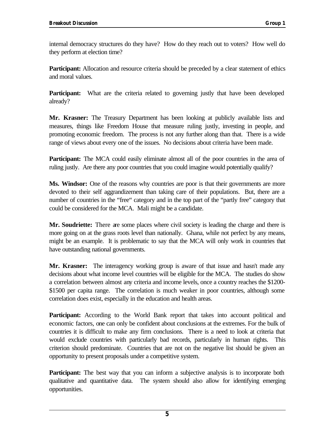internal democracy structures do they have? How do they reach out to voters? How well do they perform at election time?

**Participant:** Allocation and resource criteria should be preceded by a clear statement of ethics and moral values.

Participant: What are the criteria related to governing justly that have been developed already?

**Mr. Krasner:** The Treasury Department has been looking at publicly available lists and measures, things like Freedom House that measure ruling justly, investing in people, and promoting economic freedom. The process is not any further along than that. There is a wide range of views about every one of the issues. No decisions about criteria have been made.

**Participant:** The MCA could easily eliminate almost all of the poor countries in the area of ruling justly. Are there any poor countries that you could imagine would potentially qualify?

**Ms. Windsor:** One of the reasons why countries are poor is that their governments are more devoted to their self aggrandizement than taking care of their populations. But, there are a number of countries in the "free" category and in the top part of the "partly free" category that could be considered for the MCA. Mali might be a candidate.

**Mr. Soudriette:** There are some places where civil society is leading the charge and there is more going on at the grass roots level than nationally. Ghana, while not perfect by any means, might be an example. It is problematic to say that the MCA will only work in countries that have outstanding national governments.

**Mr. Krasner:** The interagency working group is aware of that issue and hasn't made any decisions about what income level countries will be eligible for the MCA. The studies do show a correlation between almost any criteria and income levels, once a country reaches the \$1200- \$1500 per capita range. The correlation is much weaker in poor countries, although some correlation does exist, especially in the education and health areas.

**Participant:** According to the World Bank report that takes into account political and economic factors, one can only be confident about conclusions at the extremes. For the bulk of countries it is difficult to make any firm conclusions. There is a need to look at criteria that would exclude countries with particularly bad records, particularly in human rights. This criterion should predominate. Countries that are not on the negative list should be given an opportunity to present proposals under a competitive system.

**Participant:** The best way that you can inform a subjective analysis is to incorporate both qualitative and quantitative data. The system should also allow for identifying emerging opportunities.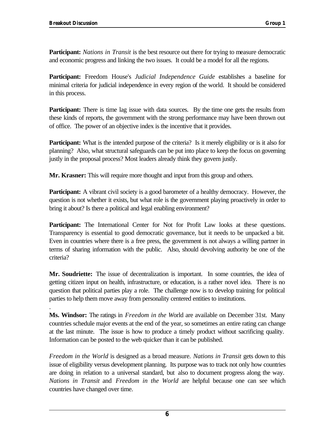.

**Participant:** *Nations in Transit* is the best resource out there for trying to measure democratic and economic progress and linking the two issues. It could be a model for all the regions.

**Participant:** Freedom House's *Judicial Independence Guide* establishes a baseline for minimal criteria for judicial independence in every region of the world. It should be considered in this process.

**Participant:** There is time lag issue with data sources. By the time one gets the results from these kinds of reports, the government with the strong performance may have been thrown out of office. The power of an objective index is the incentive that it provides.

**Participant:** What is the intended purpose of the criteria? Is it merely eligibility or is it also for planning? Also, what structural safeguards can be put into place to keep the focus on governing justly in the proposal process? Most leaders already think they govern justly.

**Mr. Krasner:** This will require more thought and input from this group and others.

**Participant:** A vibrant civil society is a good barometer of a healthy democracy. However, the question is not whether it exists, but what role is the government playing proactively in order to bring it about? Is there a political and legal enabling environment?

**Participant:** The International Center for Not for Profit Law looks at these questions. Transparency is essential to good democratic governance, but it needs to be unpacked a bit. Even in countries where there is a free press, the government is not always a willing partner in terms of sharing information with the public. Also, should devolving authority be one of the criteria?

**Mr. Soudriette:** The issue of decentralization is important. In some countries, the idea of getting citizen input on health, infrastructure, or education, is a rather novel idea. There is no question that political parties play a role. The challenge now is to develop training for political parties to help them move away from personality centered entities to institutions.

**Ms. Windsor:** The ratings in *Freedom in the W*orld are available on December 31st. Many countries schedule major events at the end of the year, so sometimes an entire rating can change at the last minute. The issue is how to produce a timely product without sacrificing quality. Information can be posted to the web quicker than it can be published.

*Freedom in the World* is designed as a broad measure. *Nations in Transit* gets down to this issue of eligibility versus development planning. Its purpose was to track not only how countries are doing in relation to a universal standard, but also to document progress along the way. *Nations in Transit* and *Freedom in the World* are helpful because one can see which countries have changed over time.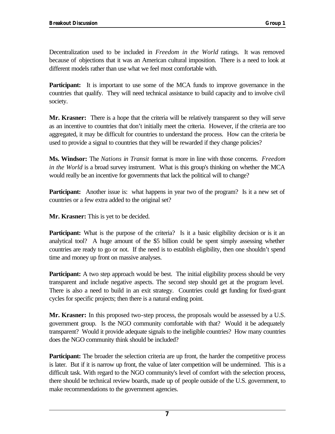Decentralization used to be included in *Freedom in the World* ratings. It was removed because of objections that it was an American cultural imposition. There is a need to look at different models rather than use what we feel most comfortable with.

**Participant:** It is important to use some of the MCA funds to improve governance in the countries that qualify. They will need technical assistance to build capacity and to involve civil society.

**Mr. Krasner:** There is a hope that the criteria will be relatively transparent so they will serve as an incentive to countries that don't initially meet the criteria. However, if the criteria are too aggregated, it may be difficult for countries to understand the process. How can the criteria be used to provide a signal to countries that they will be rewarded if they change policies?

**Ms. Windsor:** The *Nations in Transit* format is more in line with those concerns. *Freedom in the World* is a broad survey instrument. What is this group's thinking on whether the MCA would really be an incentive for governments that lack the political will to change?

**Participant:** Another issue is: what happens in year two of the program? Is it a new set of countries or a few extra added to the original set?

**Mr. Krasner:** This is yet to be decided.

**Participant:** What is the purpose of the criteria? Is it a basic eligibility decision or is it an analytical tool? A huge amount of the \$5 billion could be spent simply assessing whether countries are ready to go or not. If the need is to establish eligibility, then one shouldn't spend time and money up front on massive analyses.

**Participant:** A two step approach would be best. The initial eligibility process should be very transparent and include negative aspects. The second step should get at the program level. There is also a need to build in an exit strategy. Countries could get funding for fixed-grant cycles for specific projects; then there is a natural ending point.

**Mr. Krasner:** In this proposed two-step process, the proposals would be assessed by a U.S. government group. Is the NGO community comfortable with that? Would it be adequately transparent? Would it provide adequate signals to the ineligible countries? How many countries does the NGO community think should be included?

**Participant:** The broader the selection criteria are up front, the harder the competitive process is later. But if it is narrow up front, the value of later competition will be undermined. This is a difficult task. With regard to the NGO community's level of comfort with the selection process, there should be technical review boards, made up of people outside of the U.S. government, to make recommendations to the government agencies.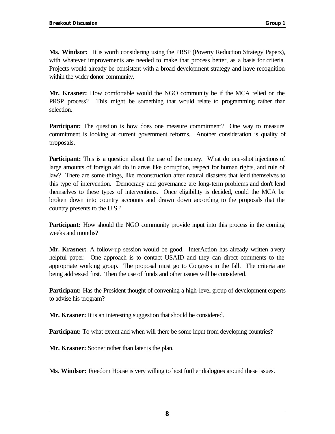**Ms. Windsor:** It is worth considering using the PRSP (Poverty Reduction Strategy Papers), with whatever improvements are needed to make that process better, as a basis for criteria. Projects would already be consistent with a broad development strategy and have recognition within the wider donor community.

**Mr. Krasner:** How comfortable would the NGO community be if the MCA relied on the PRSP process? This might be something that would relate to programming rather than selection.

**Participant:** The question is how does one measure commitment? One way to measure commitment is looking at current government reforms. Another consideration is quality of proposals.

**Participant:** This is a question about the use of the money. What do one-shot injections of large amounts of foreign aid do in areas like corruption, respect for human rights, and rule of law? There are some things, like reconstruction after natural disasters that lend themselves to this type of intervention. Democracy and governance are long-term problems and don't lend themselves to these types of interventions. Once eligibility is decided, could the MCA be broken down into country accounts and drawn down according to the proposals that the country presents to the U.S.?

**Participant:** How should the NGO community provide input into this process in the coming weeks and months?

**Mr. Krasner:** A follow-up session would be good. InterAction has already written a very helpful paper. One approach is to contact USAID and they can direct comments to the appropriate working group. The proposal must go to Congress in the fall. The criteria are being addressed first. Then the use of funds and other issues will be considered.

**Participant:** Has the President thought of convening a high-level group of development experts to advise his program?

**Mr. Krasner:** It is an interesting suggestion that should be considered.

**Participant:** To what extent and when will there be some input from developing countries?

**Mr. Krasner:** Sooner rather than later is the plan.

**Ms. Windsor:** Freedom House is very willing to host further dialogues around these issues.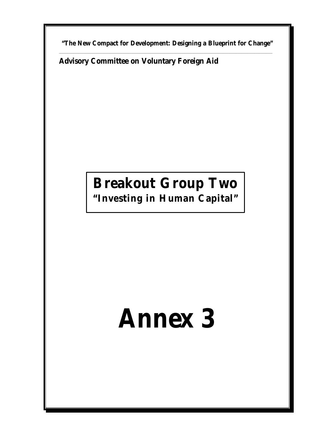**"The New Compact for Development: Designing a Blueprint for Change"** \_\_\_\_\_\_\_\_\_\_\_\_\_\_\_\_\_\_\_\_\_\_\_\_\_\_\_\_\_\_\_\_\_\_\_\_\_\_\_\_\_\_\_\_\_\_\_\_\_\_\_\_\_\_\_\_\_\_\_\_\_\_\_\_\_\_\_\_\_\_\_\_\_\_\_\_\_\_\_\_\_\_\_\_\_\_\_\_\_\_\_\_\_\_\_\_\_\_\_\_\_\_\_\_\_\_\_\_\_\_\_\_\_\_\_\_\_\_\_\_\_\_\_\_\_\_\_\_\_\_

**Advisory Committee on Voluntary Foreign Aid**

# **Breakout Group Two**

**"Investing in Human Capital"**

# **Annex 3**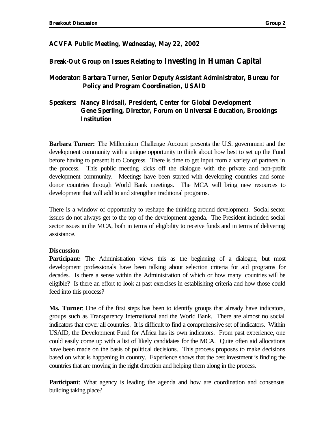#### **ACVFA Public Meeting, Wednesday, May 22, 2002**

#### **Break-Out Group on Issues Relating to Investing in Human Capital**

#### **Moderator: Barbara Turner, Senior Deputy Assistant Administrator, Bureau for Policy and Program Coordination, USAID**

#### **Speakers: Nancy Birdsall, President, Center for Global Development Gene Sperling, Director, Forum on Universal Education, Brookings Institution**

**Barbara Turner:** The Millennium Challenge Account presents the U.S. government and the development community with a unique opportunity to think about how best to set up the Fund before having to present it to Congress. There is time to get input from a variety of partners in the process. This public meeting kicks off the dialogue with the private and non-profit development community. Meetings have been started with developing countries and some donor countries through World Bank meetings. The MCA will bring new resources to development that will add to and strengthen traditional programs.

There is a window of opportunity to reshape the thinking around development. Social sector issues do not always get to the top of the development agenda. The President included social sector issues in the MCA, both in terms of eligibility to receive funds and in terms of delivering assistance.

#### **Discussion**

**Participant:** The Administration views this as the beginning of a dialogue, but most development professionals have been talking about selection criteria for aid programs for decades. Is there a sense within the Administration of which or how many countries will be eligible? Is there an effort to look at past exercises in establishing criteria and how those could feed into this process?

**Ms. Turner**: One of the first steps has been to identify groups that already have indicators, groups such as Transparency International and the World Bank. There are almost no social indicators that cover all countries. It is difficult to find a comprehensive set of indicators. Within USAID, the Development Fund for Africa has its own indicators. From past experience, one could easily come up with a list of likely candidates for the MCA. Quite often aid allocations have been made on the basis of political decisions. This process proposes to make decisions based on what is happening in country. Experience shows that the best investment is finding the countries that are moving in the right direction and helping them along in the process.

**Participant**: What agency is leading the agenda and how are coordination and consensus building taking place?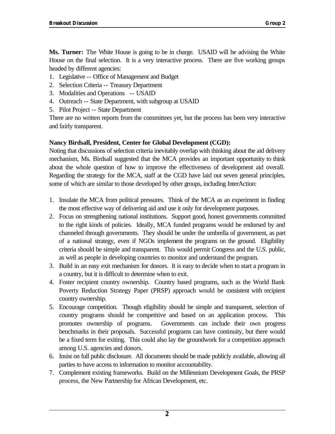**Ms. Turner:** The White House is going to be in charge. USAID will be advising the White House on the final selection. It is a very interactive process. There are five working groups headed by different agencies:

- 1. Legislative -- Office of Management and Budget
- 2. Selection Criteria -- Treasury Department
- 3. Modalities and Operations -- USAID
- 4. Outreach -- State Department, with subgroup at USAID
- 5. Pilot Project -- State Department

There are no written reports from the committees yet, but the process has been very interactive and fairly transparent.

#### **Nancy Birdsall, President, Center for Global Development (CGD):**

Noting that discussions of selection criteria inevitably overlap with thinking about the aid delivery mechanism, Ms. Birdsall suggested that the MCA provides an important opportunity to think about the whole question of how to improve the effectiveness of development aid overall. Regarding the strategy for the MCA, staff at the CGD have laid out seven general principles, some of which are similar to those developed by other groups, including InterAction:

- 1. Insulate the MCA from political pressures. Think of the MCA as an experiment in finding the most effective way of delivering aid and use it only for development purposes.
- 2. Focus on strengthening national institutions. Support good, honest governments committed to the right kinds of policies. Ideally, MCA funded programs would be endorsed by and channeled through governments. They should be under the umbrella of government, as part of a national strategy, even if NGOs implement the programs on the ground. Eligibility criteria should be simple and transparent. This would permit Congress and the U.S. public, as well as people in developing countries to monitor and understand the program.
- 3. Build in an easy exit mechanism for donors. It is easy to decide when to start a program in a country, but it is difficult to determine when to exit.
- 4. Foster recipient country ownership. Country based programs, such as the World Bank Poverty Reduction Strategy Paper (PRSP) approach would be consistent with recipient country ownership.
- 5. Encourage competition. Though eligibility should be simple and transparent, selection of country programs should be competitive and based on an application process. This promotes ownership of programs. Governments can include their own progress benchmarks in their proposals. Successful programs can have continuity, but there would be a fixed term for exiting. This could also lay the groundwork for a competition approach among U.S. agencies and donors.
- 6. Insist on full public disclosure. All documents should be made publicly available, allowing all parties to have access to information to monitor accountability.
- 7. Complement existing frameworks. Build on the Millennium Development Goals, the PRSP process, the New Partnership for African Development, etc.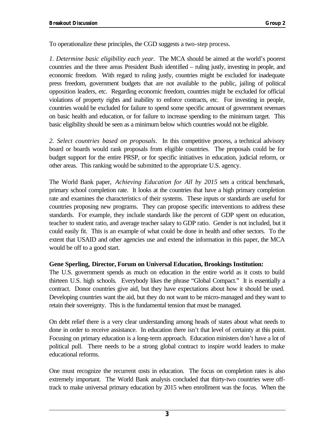To operationalize these principles, the CGD suggests a two-step process.

*1. Determine basic eligibility each year.* The MCA should be aimed at the world's poorest countries and the three areas President Bush identified – ruling justly, investing in people, and economic freedom. With regard to ruling justly, countries might be excluded for inadequate press freedom, government budgets that are not available to the public, jailing of political opposition leaders, etc. Regarding economic freedom, countries might be excluded for official violations of property rights and inability to enforce contracts, etc. For investing in people, countries would be excluded for failure to spend some specific amount of government revenues on basic health and education, or for failure to increase spending to the minimum target. This basic eligibility should be seen as a minimum below which countries would not be eligible.

*2. Select countries based on proposals*. In this competitive process, a technical advisory board or boards would rank proposals from eligible countries. The proposals could be for budget support for the entire PRSP, or for specific initiatives in education, judicial reform, or other areas. This ranking would be submitted to the appropriate U.S. agency.

The World Bank paper, *Achieving Education for All by 2015* sets a critical benchmark, primary school completion rate. It looks at the countries that have a high primary completion rate and examines the characteristics of their systems. These inputs or standards are useful for countries proposing new programs. They can propose specific interventions to address these standards. For example, they include standards like the percent of GDP spent on education, teacher to student ratio, and average teacher salary to GDP ratio. Gender is not included, but it could easily fit. This is an example of what could be done in health and other sectors. To the extent that USAID and other agencies use and extend the information in this paper, the MCA would be off to a good start.

#### **Gene Sperling, Director, Forum on Universal Education, Brookings Institution:**

The U.S. government spends as much on education in the entire world as it costs to build thirteen U.S. high schools. Everybody likes the phrase "Global Compact." It is essentially a contract. Donor countries give aid, but they have expectations about how it should be used. Developing countries want the aid, but they do not want to be micro-managed and they want to retain their sovereignty. This is the fundamental tension that must be managed.

On debt relief there is a very clear understanding among heads of states about what needs to done in order to receive assistance. In education there isn't that level of certainty at this point. Focusing on primary education is a long-term approach. Education ministers don't have a lot of political pull. There needs to be a strong global contract to inspire world leaders to make educational reforms.

One must recognize the recurrent costs in education. The focus on completion rates is also extremely important. The World Bank analysis concluded that thirty-two countries were offtrack to make universal primary education by 2015 when enrollment was the focus. When the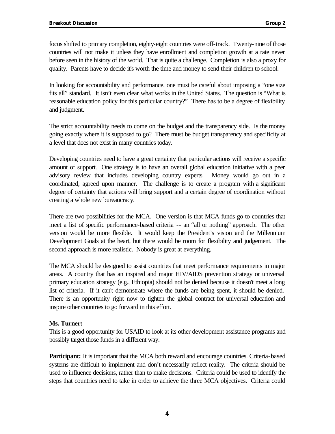focus shifted to primary completion, eighty-eight countries were off-track. Twenty-nine of those countries will not make it unless they have enrollment and completion growth at a rate never before seen in the history of the world. That is quite a challenge. Completion is also a proxy for quality. Parents have to decide it's worth the time and money to send their children to school.

In looking for accountability and performance, one must be careful about imposing a "one size fits all" standard. It isn't even clear what works in the United States. The question is "What is reasonable education policy for this particular country?" There has to be a degree of flexibility and judgment.

The strict accountability needs to come on the budget and the transparency side. Is the money going exactly where it is supposed to go? There must be budget transparency and specificity at a level that does not exist in many countries today.

Developing countries need to have a great certainty that particular actions will receive a specific amount of support. One strategy is to have an overall global education initiative with a peer advisory review that includes developing country experts. Money would go out in a coordinated, agreed upon manner. The challenge is to create a program with a significant degree of certainty that actions will bring support and a certain degree of coordination without creating a whole new bureaucracy.

There are two possibilities for the MCA. One version is that MCA funds go to countries that meet a list of specific performance-based criteria -- an "all or nothing" approach. The other version would be more flexible. It would keep the President's vision and the Millennium Development Goals at the heart, but there would be room for flexibility and judgement. The second approach is more realistic. Nobody is great at everything.

The MCA should be designed to assist countries that meet performance requirements in major areas. A country that has an inspired and major HIV/AIDS prevention strategy or universal primary education strategy (e.g., Ethiopia) should not be denied because it doesn't meet a long list of criteria. If it can't demonstrate where the funds are being spent, it should be denied. There is an opportunity right now to tighten the global contract for universal education and inspire other countries to go forward in this effort.

#### **Ms. Turner:**

This is a good opportunity for USAID to look at its other development assistance programs and possibly target those funds in a different way.

**Participant:** It is important that the MCA both reward and encourage countries. Criteria-based systems are difficult to implement and don't necessarily reflect reality. The criteria should be used to influence decisions, rather than to make decisions. Criteria could be used to identify the steps that countries need to take in order to achieve the three MCA objectives. Criteria could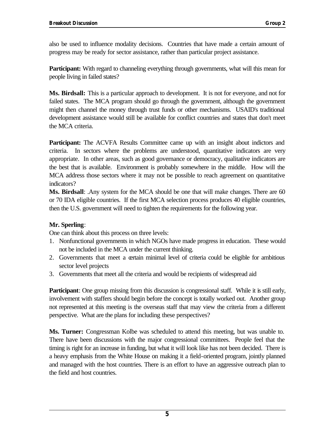also be used to influence modality decisions. Countries that have made a certain amount of progress may be ready for sector assistance, rather than particular project assistance.

**Participant:** With regard to channeling everything through governments, what will this mean for people living in failed states?

**Ms. Birdsall:** This is a particular approach to development. It is not for everyone, and not for failed states. The MCA program should go through the government, although the government might then channel the money through trust funds or other mechanisms. USAID's traditional development assistance would still be available for conflict countries and states that don't meet the MCA criteria.

**Participant:** The ACVFA Results Committee came up with an insight about indictors and criteria. In sectors where the problems are understood, quantitative indicators are very appropriate. In other areas, such as good governance or democracy, qualitative indicators are the best that is available. Environment is probably somewhere in the middle. How will the MCA address those sectors where it may not be possible to reach agreement on quantitative indicators?

**Ms. Birdsall**: .Any system for the MCA should be one that will make changes. There are 60 or 70 IDA eligible countries. If the first MCA selection process produces 40 eligible countries, then the U.S. government will need to tighten the requirements for the following year.

#### **Mr. Sperling**:

One can think about this process on three levels:

- 1. Nonfunctional governments in which NGOs have made progress in education. These would not be included in the MCA under the current thinking.
- 2. Governments that meet a certain minimal level of criteria could be eligible for ambitious sector level projects
- 3. Governments that meet all the criteria and would be recipients of widespread aid

**Participant**: One group missing from this discussion is congressional staff. While it is still early, involvement with staffers should begin before the concept is totally worked out. Another group not represented at this meeting is the overseas staff that may view the criteria from a different perspective. What are the plans for including these perspectives?

**Ms. Turner:** Congressman Kolbe was scheduled to attend this meeting, but was unable to. There have been discussions with the major congressional committees. People feel that the timing is right for an increase in funding, but what it will look like has not been decided. There is a heavy emphasis from the White House on making it a field-oriented program, jointly planned and managed with the host countries. There is an effort to have an aggressive outreach plan to the field and host countries.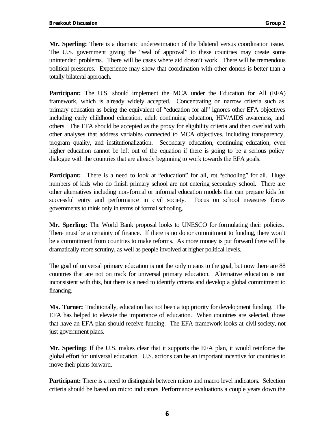**Mr. Sperling:** There is a dramatic underestimation of the bilateral versus coordination issue. The U.S. government giving the "seal of approval" to these countries may create some unintended problems. There will be cases where aid doesn't work. There will be tremendous political pressures. Experience may show that coordination with other donors is better than a totally bilateral approach.

**Participant:** The U.S. should implement the MCA under the Education for All (EFA) framework, which is already widely accepted. Concentrating on narrow criteria such as primary education as being the equivalent of "education for all" ignores other EFA objectives including early childhood education, adult continuing education, HIV/AIDS awareness, and others. The EFA should be accepted as the proxy for eligibility criteria and then overlaid with other analyses that address variables connected to MCA objectives, including transparency, program quality, and institutionalization. Secondary education, continuing education, even higher education cannot be left out of the equation if there is going to be a serious policy dialogue with the countries that are already beginning to work towards the EFA goals.

**Participant:** There is a need to look at "education" for all, not "schooling" for all. Huge numbers of kids who do finish primary school are not entering secondary school. There are other alternatives including non-formal or informal education models that can prepare kids for successful entry and performance in civil society. Focus on school measures forces governments to think only in terms of formal schooling.

**Mr. Sperling:** The World Bank proposal looks to UNESCO for formulating their policies. There must be a certainty of finance. If there is no donor commitment to funding, there won't be a commitment from countries to make reforms. As more money is put forward there will be dramatically more scrutiny, as well as people involved at higher political levels.

The goal of universal primary education is not the only means to the goal, but now there are 88 countries that are not on track for universal primary education. Alternative education is not inconsistent with this, but there is a need to identify criteria and develop a global commitment to financing.

**Ms. Turner:** Traditionally, education has not been a top priority for development funding. The EFA has helped to elevate the importance of education. When countries are selected, those that have an EFA plan should receive funding. The EFA framework looks at civil society, not just government plans.

**Mr. Sperling:** If the U.S. makes clear that it supports the EFA plan, it would reinforce the global effort for universal education. U.S. actions can be an important incentive for countries to move their plans forward.

**Participant:** There is a need to distinguish between micro and macro level indicators. Selection criteria should be based on micro indicators. Performance evaluations a couple years down the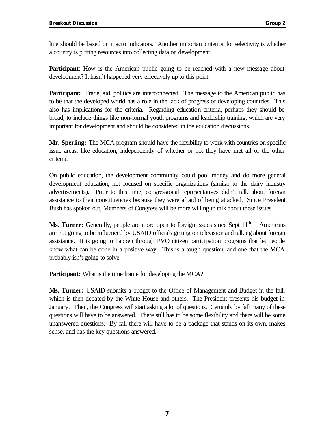line should be based on macro indicators. Another important criterion for selectivity is whether a country is putting resources into collecting data on development.

**Participant**: How is the American public going to be reached with a new message about development? It hasn't happened very effectively up to this point.

Participant: Trade, aid, politics are interconnected. The message to the American public has to be that the developed world has a role in the lack of progress of developing countries. This also has implications for the criteria. Regarding education criteria, perhaps they should be broad, to include things like non-formal youth programs and leadership training, which are very important for development and should be considered in the education discussions.

**Mr. Sperling:** The MCA program should have the flexibility to work with countries on specific issue areas, like education, independently of whether or not they have met all of the other criteria.

On public education, the development community could pool money and do more general development education, not focused on specific organizations (similar to the dairy industry advertisements). Prior to this time, congressional representatives didn't talk about foreign assistance to their constituencies because they were afraid of being attacked. Since President Bush has spoken out, Members of Congress will be more willing to talk about these issues.

**Ms. Turner:** Generally, people are more open to foreign issues since Sept 11<sup>th</sup>. . Americans are not going to be influenced by USAID officials getting on television and talking about foreign assistance. It is going to happen through PVO citizen participation programs that let people know what can be done in a positive way. This is a tough question, and one that the MCA probably isn't going to solve.

**Participant:** What is the time frame for developing the MCA?

**Ms. Turner:** USAID submits a budget to the Office of Management and Budget in the fall, which is then debated by the White House and others. The President presents his budget in January. Then, the Congress will start asking a lot of questions. Certainly by fall many of these questions will have to be answered. There still has to be some flexibility and there will be some unanswered questions. By fall there will have to be a package that stands on its own, makes sense, and has the key questions answered.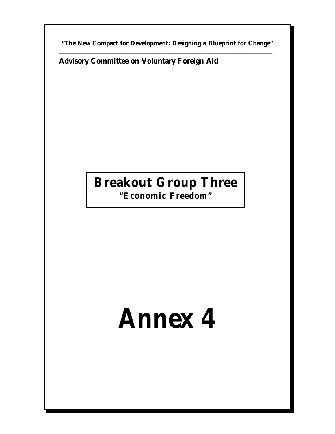**"The New Compact for Development: Designing a Blueprint for Change"** \_\_\_\_\_\_\_\_\_\_\_\_\_\_\_\_\_\_\_\_\_\_\_\_\_\_\_\_\_\_\_\_\_\_\_\_\_\_\_\_\_\_\_\_\_\_\_\_\_\_\_\_\_\_\_\_\_\_\_\_\_\_\_\_\_\_\_\_\_\_\_\_\_\_\_\_\_\_\_\_\_\_\_\_\_\_\_\_\_\_\_\_\_\_\_\_\_\_\_\_\_\_\_\_\_\_\_\_\_\_\_\_\_\_\_\_\_\_\_\_\_\_\_\_\_\_\_\_\_\_

**Advisory Committee on Voluntary Foreign Aid**

# **Breakout Group Three**

**"Economic Freedom"**

# **Annex 4**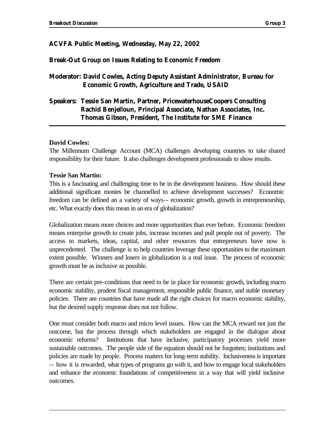#### **ACVFA Public Meeting, Wednesday, May 22, 2002**

#### **Break-Out Group on Issues Relating to Economic Freedom**

**Moderator: David Cowles, Acting Deputy Assistant Administrator, Bureau for Economic Growth, Agriculture and Trade, USAID**

#### **Speakers: Tessie San Martin, Partner, PricewaterhouseCoopers Consulting Rachid Benjelloun, Principal Associate, Nathan Associates, Inc. Thomas Gibson, President, The Institute for SME Finance**

#### **David Cowles:**

The Millennum Challenge Account (MCA) challenges developing countries to take shared responsibility for their future. It also challenges development professionals to show results.

#### **Tessie San Martin:**

This is a fascinating and challenging time to be in the development business. How should these additional significant monies be channelled to achieve development successes? Economic freedom can be defined an a variety of ways-- economic growth, growth in entrepreneurship, etc. What exactly does this mean in an era of globalization?

Globalization means more choices and more opportunities than ever before. Economic freedom means enterprise growth to create jobs, increase incomes and pull people out of poverty. The access to markets, ideas, capital, and other resources that entrepreneurs have now is unprecedented. The challenge is to help countries leverage these opportunities to the maximum extent possible. Winners and losers in globalization is a real issue. The process of economic growth must be as inclusive as possible.

There are certain pre-conditions that need to be in place for economic growth, including macro economic stability, prudent fiscal management, responsible public finance, and stable monetary policies. There are countries that have made all the right choices for macro economic stability, but the desired supply response does not not follow.

One must consider both macro and micro level issues. How can the MCA reward not just the outcome, but the process through which stakeholders are engaged in the dialogue about economic reforms? Institutions that have inclusive, participatory processes yield more sustainable outcomes. The people side of the equation should not be forgotten; institutions and policies are made by people. Process matters for long-term stability. Inclusiveness is important -- how it is rewarded, what types of programs go with it, and how to engage local stakeholders and enhance the economic foundations of competitiveness in a way that will yield inclusive outcomes.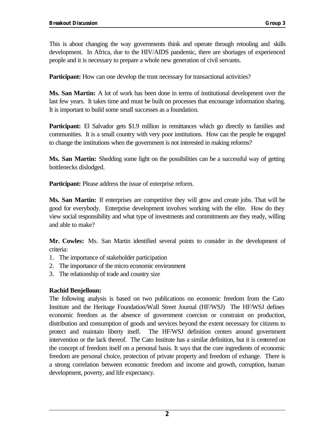This is about changing the way governments think and operate through retooling and skills development. In Africa, due to the HIV/AIDS pandemic, there are shortages of experienced people and it is necessary to prepare a whole new generation of civil servants.

**Participant:** How can one develop the trust necessary for transactional activities?

**Ms. San Martin:** A lot of work has been done in terms of institutional development over the last few years. It takes time and must be built on processes that encourage information sharing. It is important to build some small successes as a foundation.

Participant: El Salvador gets \$1.9 million in remittances which go directly to families and communities. It is a small country with very poor institutions. How can the people be engaged to change the institutions when the government is not interested in making reforms?

**Ms. San Martin:** Shedding some light on the possibilities can be a successful way of getting bottlenecks dislodged.

**Participant:** Please address the issue of enterprise reform.

**Ms. San Martin:** If enterprises are competitive they will grow and create jobs. That will be good for everybody. Enterprise development involves working with the elite. How do they view social responsibility and what type of investments and commitments are they ready, willing and able to make?

**Mr. Cowles:** Ms. San Martin identified several points to consider in the development of criteria:

- 1. The importance of stakeholder participation
- 2. The importance of the micro economic environment
- 3. The relationship of trade and country size

#### **Rachid Benjelloun:**

The following analysis is based on two publications on economic freedom from the Cato Institute and the Heritage Foundation/Wall Street Journal (HF/WSJ) The HF/WSJ defines economic freedom as the absence of government coercion or constraint on production, distribution and consumption of goods and services beyond the extent necessary for citizens to protect and maintain liberty itself. The HF/WSJ definition centers around government intervention or the lack thereof. The Cato Institute has a similar definition, but it is centered on the concept of freedom itself on a personal basis. It says that the core ingredients of economic freedom are personal choice, protection of private property and freedom of exhange. There is a strong correlation between economic freedom and income and growth, corruption, human development, poverty, and life expectancy.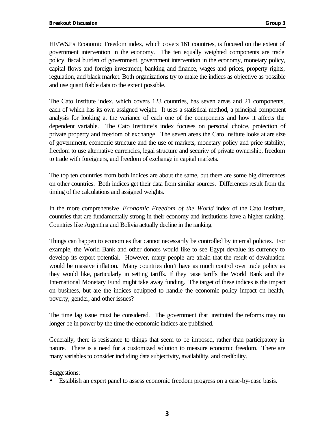HF/WSJ's Economic Freedom index, which covers 161 countries, is focused on the extent of government intervention in the economy. The ten equally weighted components are trade policy, fiscal burden of government, government intervention in the economy, monetary policy, capital flows and foreign investment, banking and finance, wages and prices, property rights, regulation, and black market. Both organizations try to make the indices as objective as possible and use quantifiable data to the extent possible.

The Cato Institute index, which covers 123 countries, has seven areas and 21 components, each of which has its own assigned weight. It uses a statistical method, a principal component analysis for looking at the variance of each one of the components and how it affects the dependent variable. The Cato Institute's index focuses on personal choice, protection of private property and freedom of exchange. The seven areas the Cato Insitute looks at are size of government, economic structure and the use of markets, monetary policy and price stability, freedom to use alternative currencies, legal structure and security of private ownership, freedom to trade with foreigners, and freedom of exchange in capital markets.

The top ten countries from both indices are about the same, but there are some big differences on other countries. Both indices get their data from similar sources. Differences result from the timing of the calculations and assigned weights.

In the more comprehensive *Economic Freedom of the World* index of the Cato Institute, countries that are fundamentally strong in their economy and institutions have a higher ranking. Countries like Argentina and Bolivia actually decline in the ranking.

Things can happen to economies that cannot necessarily be controlled by internal policies. For example, the World Bank and other donors would like to see Egypt devalue its currency to develop its export potential. However, many people are afraid that the result of devaluation would be massive inflation. Many countries don't have as much control over trade policy as they would like, particularly in setting tariffs. If they raise tariffs the World Bank and the International Monetary Fund might take away funding. The target of these indices is the impact on business, but are the indices equipped to handle the economic policy impact on health, poverty, gender, and other issues?

The time lag issue must be considered. The government that instituted the reforms may no longer be in power by the time the economic indices are published.

Generally, there is resistance to things that seem to be imposed, rather than participatory in nature. There is a need for a customized solution to measure economic freedom. There are many variables to consider including data subjectivity, availability, and credibility.

Suggestions:

• Establish an expert panel to assess economic freedom progress on a case-by-case basis.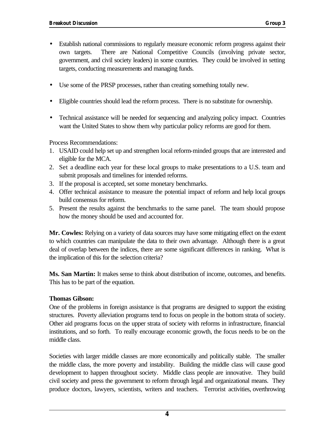- Establish national commissions to regularly measure economic reform progress against their own targets. There are National Competitive Councils (involving private sector, government, and civil society leaders) in some countries. They could be involved in setting targets, conducting measurements and managing funds.
- Use some of the PRSP processes, rather than creating something totally new.
- Eligible countries should lead the reform process. There is no substitute for ownership.
- Technical assistance will be needed for sequencing and analyzing policy impact. Countries want the United States to show them why particular policy reforms are good for them.

Process Recommendations:

- 1. USAID could help set up and strengthen local reform-minded groups that are interested and eligible for the MCA.
- 2. Set a deadline each year for these local groups to make presentations to a U.S. team and submit proposals and timelines for intended reforms.
- 3. If the proposal is accepted, set some monetary benchmarks.
- 4. Offer technical assistance to measure the potential impact of reform and help local groups build consensus for reform.
- 5. Present the results against the benchmarks to the same panel. The team should propose how the money should be used and accounted for.

**Mr. Cowles:** Relying on a variety of data sources may have some mitigating effect on the extent to which countries can manipulate the data to their own advantage. Although there is a great deal of overlap between the indices, there are some significant differences in ranking. What is the implication of this for the selection criteria?

**Ms. San Martin:** It makes sense to think about distribution of income, outcomes, and benefits. This has to be part of the equation.

#### **Thomas Gibson:**

One of the problems in foreign assistance is that programs are designed to support the existing structures. Poverty alleviation programs tend to focus on people in the bottom strata of society. Other aid programs focus on the upper strata of society with reforms in infrastructure, financial institutions, and so forth. To really encourage economic growth, the focus needs to be on the middle class.

Societies with larger middle classes are more economically and politically stable. The smaller the middle class, the more poverty and instability. Building the middle class will cause good development to happen throughout society. Middle class people are innovative. They build civil society and press the government to reform through legal and organizational means. They produce doctors, lawyers, scientists, writers and teachers. Terrorist activities, overthrowing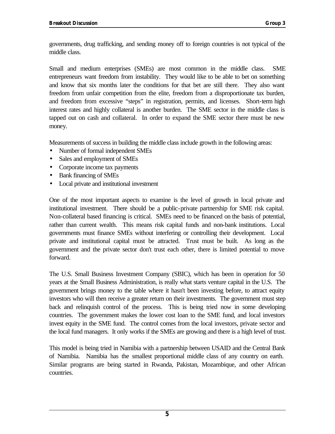governments, drug trafficking, and sending money off to foreign countries is not typical of the middle class.

Small and medium enterprises (SMEs) are most common in the middle class. SME entrepreneurs want freedom from instability. They would like to be able to bet on something and know that six months later the conditions for that bet are still there. They also want freedom from unfair competition from the elite, freedom from a disproportionate tax burden, and freedom from excessive "steps" in registration, permits, and licenses. Short-term high interest rates and highly collateral is another burden. The SME sector in the middle class is tapped out on cash and collateral. In order to expand the SME sector there must be new money.

Measurements of success in building the middle class include growth in the following areas:

- Number of formal independent SMEs
- Sales and employment of SMEs
- Corporate income tax payments
- Bank financing of SMEs
- Local private and institutional investment

One of the most important aspects to examine is the level of growth in local private and institutional investment. There should be a public-private partnership for SME risk capital. Non-collateral based financing is critical. SMEs need to be financed on the basis of potential, rather than current wealth. This means risk capital funds and non-bank institutions. Local governments must finance SMEs without interfering or controlling their development. Local private and institutional capital must be attracted. Trust must be built. As long as the government and the private sector don't trust each other, there is limited potential to move forward.

The U.S. Small Business Investment Company (SBIC), which has been in operation for 50 years at the Small Business Administration, is really what starts venture capital in the U.S. The government brings money to the table where it hasn't been investing before, to attract equity investors who will then receive a greater return on their investments. The government must step back and relinquish control of the process. This is being tried now in some developing countries. The government makes the lower cost loan to the SME fund, and local investors invest equity in the SME fund. The control comes from the local investors, private sector and the local fund managers. It only works if the SMEs are growing and there is a high level of trust.

This model is being tried in Namibia with a partnership between USAID and the Central Bank of Namibia. Namibia has the smallest proportional middle class of any country on earth. Similar programs are being started in Rwanda, Pakistan, Mozambique, and other African countries.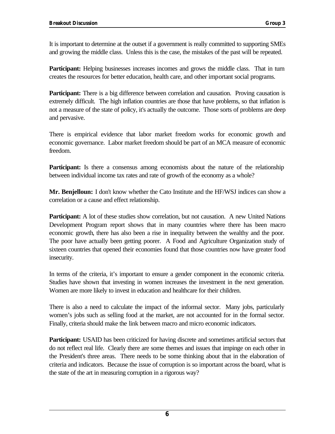It is important to determine at the outset if a government is really committed to supporting SMEs and growing the middle class. Unless this is the case, the mistakes of the past will be repeated.

**Participant:** Helping businesses increases incomes and grows the middle class. That in turn creates the resources for better education, health care, and other important social programs.

**Participant:** There is a big difference between correlation and causation. Proving causation is extremely difficult. The high inflation countries are those that have problems, so that inflation is not a measure of the state of policy, it's actually the outcome. Those sorts of problems are deep and pervasive.

There is empirical evidence that labor market freedom works for economic growth and economic governance. Labor market freedom should be part of an MCA measure of economic freedom.

**Participant:** Is there a consensus among economists about the nature of the relationship between individual income tax rates and rate of growth of the economy as a whole?

**Mr. Benjelloun:** I don't know whether the Cato Institute and the HF/WSJ indices can show a correlation or a cause and effect relationship.

Participant: A lot of these studies show correlation, but not causation. A new United Nations Development Program report shows that in many countries where there has been macro economic growth, there has also been a rise in inequality between the wealthy and the poor. The poor have actually been getting poorer. A Food and Agriculture Organization study of sixteen countries that opened their economies found that those countries now have greater food insecurity.

In terms of the criteria, it's important to ensure a gender component in the economic criteria. Studies have shown that investing in women increases the investment in the next generation. Women are more likely to invest in education and healthcare for their children.

There is also a need to calculate the impact of the informal sector. Many jobs, particularly women's jobs such as selling food at the market, are not accounted for in the formal sector. Finally, criteria should make the link between macro and micro economic indicators.

**Participant:** USAID has been criticized for having discrete and sometimes artificial sectors that do not reflect real life. Clearly there are some themes and issues that impinge on each other in the President's three areas. There needs to be some thinking about that in the elaboration of criteria and indicators. Because the issue of corruption is so important across the board, what is the state of the art in measuring corruption in a rigorous way?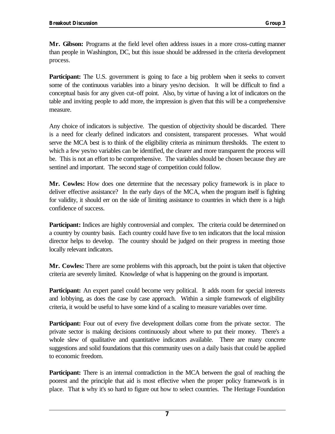**Mr. Gibson:** Programs at the field level often address issues in a more cross-cutting manner than people in Washington, DC, but this issue should be addressed in the criteria development process.

**Participant:** The U.S. government is going to face a big problem when it seeks to convert some of the continuous variables into a binary yes/no decision. It will be difficult to find a conceptual basis for any given cut-off point. Also, by virtue of having a lot of indicators on the table and inviting people to add more, the impression is given that this will be a comprehensive measure.

Any choice of indicators is subjective. The question of objectivity should be discarded. There is a need for clearly defined indicators and consistent, transparent processes. What would serve the MCA best is to think of the eligibility criteria as minimum thresholds. The extent to which a few yes/no variables can be identified, the clearer and more transparent the process will be. This is not an effort to be comprehensive. The variables should be chosen because they are sentinel and important. The second stage of competition could follow.

**Mr. Cowles:** How does one determine that the necessary policy framework is in place to deliver effective assistance? In the early days of the MCA, when the program itself is fighting for validity, it should err on the side of limiting assistance to countries in which there is a high confidence of success.

**Participant:** Indices are highly controversial and complex. The criteria could be determined on a country by country basis. Each country could have five to ten indicators that the local mission director helps to develop. The country should be judged on their progress in meeting those locally relevant indicators.

**Mr. Cowles:** There are some problems with this approach, but the point is taken that objective criteria are severely limited. Knowledge of what is happening on the ground is important.

**Participant:** An expert panel could become very political. It adds room for special interests and lobbying, as does the case by case approach. Within a simple framework of eligibility criteria, it would be useful to have some kind of a scaling to measure variables over time.

**Participant:** Four out of every five development dollars come from the private sector. The private sector is making decisions continuously about where to put their money. There's a whole slew of qualitative and quantitative indicators available. There are many concrete suggestions and solid foundations that this community uses on a daily basis that could be applied to economic freedom.

**Participant:** There is an internal contradiction in the MCA between the goal of reaching the poorest and the principle that aid is most effective when the proper policy framework is in place. That is why it's so hard to figure out how to select countries. The Heritage Foundation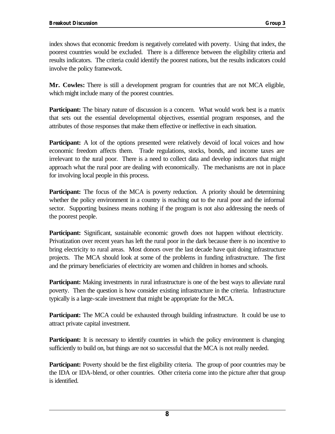index shows that economic freedom is negatively correlated with poverty. Using that index, the poorest countries would be excluded. There is a difference between the eligibility criteria and results indicators. The criteria could identify the poorest nations, but the results indicators could involve the policy framework.

**Mr. Cowles:** There is still a development program for countries that are not MCA eligible, which might include many of the poorest countries.

**Participant:** The binary nature of discussion is a concern. What would work best is a matrix that sets out the essential developmental objectives, essential program responses, and the attributes of those responses that make them effective or ineffective in each situation.

**Participant:** A lot of the options presented were relatively devoid of local voices and how economic freedom affects them. Trade regulations, stocks, bonds, and income taxes are irrelevant to the rural poor. There is a need to collect data and develop indicators that might approach what the rural poor are dealing with economically. The mechanisms are not in place for involving local people in this process.

**Participant:** The focus of the MCA is poverty reduction. A priority should be determining whether the policy environment in a country is reaching out to the rural poor and the informal sector. Supporting business means nothing if the program is not also addressing the needs of the poorest people.

**Participant:** Significant, sustainable economic growth does not happen without electricity. Privatization over recent years has left the rural poor in the dark because there is no incentive to bring electricity to rural areas. Most donors over the last decade have quit doing infrastructure projects. The MCA should look at some of the problems in funding infrastructure. The first and the primary beneficiaries of electricity are women and children in homes and schools.

**Participant:** Making investments in rural infrastructure is one of the best ways to alleviate rural poverty. Then the question is how consider existing infrastructure in the criteria. Infrastructure typically is a large-scale investment that might be appropriate for the MCA.

**Participant:** The MCA could be exhausted through building infrastructure. It could be use to attract private capital investment.

**Participant:** It is necessary to identify countries in which the policy environment is changing sufficiently to build on, but things are not so successful that the MCA is not really needed.

**Participant:** Poverty should be the first eligibility criteria. The group of poor countries may be the IDA or IDA-blend, or other countries. Other criteria come into the picture after that group is identified.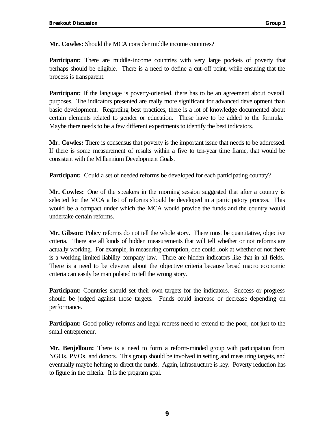**Mr. Cowles:** Should the MCA consider middle income countries?

**Participant:** There are middle-income countries with very large pockets of poverty that perhaps should be eligible. There is a need to define a cut-off point, while ensuring that the process is transparent.

Participant: If the language is poverty-oriented, there has to be an agreement about overall purposes. The indicators presented are really more significant for advanced development than basic development. Regarding best practices, there is a lot of knowledge documented about certain elements related to gender or education. These have to be added to the formula. Maybe there needs to be a few different experiments to identify the best indicators.

**Mr. Cowles:** There is consensus that poverty is the important issue that needs to be addressed. If there is some measurement of results within a five to ten-year time frame, that would be consistent with the Millennium Development Goals.

**Participant:** Could a set of needed reforms be developed for each participating country?

**Mr. Cowles:** One of the speakers in the morning session suggested that after a country is selected for the MCA a list of reforms should be developed in a participatory process. This would be a compact under which the MCA would provide the funds and the country would undertake certain reforms.

**Mr. Gibson:** Policy reforms do not tell the whole story. There must be quantitative, objective criteria. There are all kinds of hidden measurements that will tell whether or not reforms are actually working. For example, in measuring corruption, one could look at whether or not there is a working limited liability company law. There are hidden indicators like that in all fields. There is a need to be cleverer about the objective criteria because broad macro economic criteria can easily be manipulated to tell the wrong story.

**Participant:** Countries should set their own targets for the indicators. Success or progress should be judged against those targets. Funds could increase or decrease depending on performance.

**Participant:** Good policy reforms and legal redress need to extend to the poor, not just to the small entrepreneur.

**Mr. Benjelloun:** There is a need to form a reform-minded group with participation from NGOs, PVOs, and donors. This group should be involved in setting and measuring targets, and eventually maybe helping to direct the funds. Again, infrastructure is key. Poverty reduction has to figure in the criteria. It is the program goal.